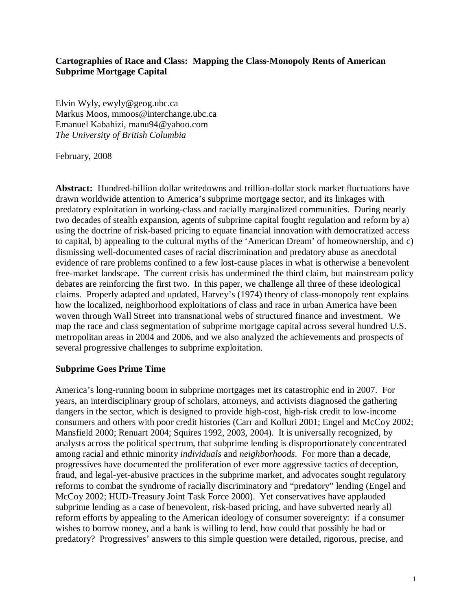# **Cartographies of Race and Class: Mapping the Class-Monopoly Rents of American Subprime Mortgage Capital**

Elvin Wyly, ewyly@geog.ubc.ca Markus Moos, mmoos@interchange.ubc.ca Emanuel Kabahizi, manu94@yahoo.com *The University of British Columbia* 

February, 2008

**Abstract:** Hundred-billion dollar writedowns and trillion-dollar stock market fluctuations have drawn worldwide attention to America's subprime mortgage sector, and its linkages with predatory exploitation in working-class and racially marginalized communities. During nearly two decades of stealth expansion, agents of subprime capital fought regulation and reform by a) using the doctrine of risk-based pricing to equate financial innovation with democratized access to capital, b) appealing to the cultural myths of the 'American Dream' of homeownership, and c) dismissing well-documented cases of racial discrimination and predatory abuse as anecdotal evidence of rare problems confined to a few lost-cause places in what is otherwise a benevolent free-market landscape. The current crisis has undermined the third claim, but mainstream policy debates are reinforcing the first two. In this paper, we challenge all three of these ideological claims. Properly adapted and updated, Harvey's (1974) theory of class-monopoly rent explains how the localized, neighborhood exploitations of class and race in urban America have been woven through Wall Street into transnational webs of structured finance and investment. We map the race and class segmentation of subprime mortgage capital across several hundred U.S. metropolitan areas in 2004 and 2006, and we also analyzed the achievements and prospects of several progressive challenges to subprime exploitation.

## **Subprime Goes Prime Time**

America's long-running boom in subprime mortgages met its catastrophic end in 2007. For years, an interdisciplinary group of scholars, attorneys, and activists diagnosed the gathering dangers in the sector, which is designed to provide high-cost, high-risk credit to low-income consumers and others with poor credit histories (Carr and Kolluri 2001; Engel and McCoy 2002; Mansfield 2000; Renuart 2004; Squires 1992, 2003, 2004). It is universally recognized, by analysts across the political spectrum, that subprime lending is disproportionately concentrated among racial and ethnic minority *individuals* and *neighborhoods*. For more than a decade, progressives have documented the proliferation of ever more aggressive tactics of deception, fraud, and legal-yet-abusive practices in the subprime market, and advocates sought regulatory reforms to combat the syndrome of racially discriminatory and "predatory" lending (Engel and McCoy 2002; HUD-Treasury Joint Task Force 2000). Yet conservatives have applauded subprime lending as a case of benevolent, risk-based pricing, and have subverted nearly all reform efforts by appealing to the American ideology of consumer sovereignty: if a consumer wishes to borrow money, and a bank is willing to lend, how could that possibly be bad or predatory? Progressives' answers to this simple question were detailed, rigorous, precise, and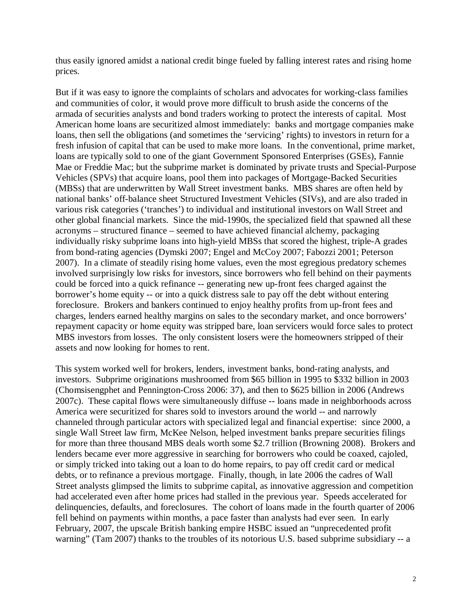thus easily ignored amidst a national credit binge fueled by falling interest rates and rising home prices.

But if it was easy to ignore the complaints of scholars and advocates for working-class families and communities of color, it would prove more difficult to brush aside the concerns of the armada of securities analysts and bond traders working to protect the interests of capital. Most American home loans are securitized almost immediately: banks and mortgage companies make loans, then sell the obligations (and sometimes the 'servicing' rights) to investors in return for a fresh infusion of capital that can be used to make more loans. In the conventional, prime market, loans are typically sold to one of the giant Government Sponsored Enterprises (GSEs), Fannie Mae or Freddie Mac; but the subprime market is dominated by private trusts and Special-Purpose Vehicles (SPVs) that acquire loans, pool them into packages of Mortgage-Backed Securities (MBSs) that are underwritten by Wall Street investment banks. MBS shares are often held by national banks' off-balance sheet Structured Investment Vehicles (SIVs), and are also traded in various risk categories ('tranches') to individual and institutional investors on Wall Street and other global financial markets. Since the mid-1990s, the specialized field that spawned all these acronyms – structured finance – seemed to have achieved financial alchemy, packaging individually risky subprime loans into high-yield MBSs that scored the highest, triple-A grades from bond-rating agencies (Dymski 2007; Engel and McCoy 2007; Fabozzi 2001; Peterson 2007). In a climate of steadily rising home values, even the most egregious predatory schemes involved surprisingly low risks for investors, since borrowers who fell behind on their payments could be forced into a quick refinance -- generating new up-front fees charged against the borrower's home equity -- or into a quick distress sale to pay off the debt without entering foreclosure. Brokers and bankers continued to enjoy healthy profits from up-front fees and charges, lenders earned healthy margins on sales to the secondary market, and once borrowers' repayment capacity or home equity was stripped bare, loan servicers would force sales to protect MBS investors from losses. The only consistent losers were the homeowners stripped of their assets and now looking for homes to rent.

This system worked well for brokers, lenders, investment banks, bond-rating analysts, and investors. Subprime originations mushroomed from \$65 billion in 1995 to \$332 billion in 2003 (Chomsisengphet and Pennington-Cross 2006: 37), and then to \$625 billion in 2006 (Andrews 2007c). These capital flows were simultaneously diffuse -- loans made in neighborhoods across America were securitized for shares sold to investors around the world -- and narrowly channeled through particular actors with specialized legal and financial expertise: since 2000, a single Wall Street law firm, McKee Nelson, helped investment banks prepare securities filings for more than three thousand MBS deals worth some \$2.7 trillion (Browning 2008). Brokers and lenders became ever more aggressive in searching for borrowers who could be coaxed, cajoled, or simply tricked into taking out a loan to do home repairs, to pay off credit card or medical debts, or to refinance a previous mortgage. Finally, though, in late 2006 the cadres of Wall Street analysts glimpsed the limits to subprime capital, as innovative aggression and competition had accelerated even after home prices had stalled in the previous year. Speeds accelerated for delinquencies, defaults, and foreclosures. The cohort of loans made in the fourth quarter of 2006 fell behind on payments within months, a pace faster than analysts had ever seen. In early February, 2007, the upscale British banking empire HSBC issued an "unprecedented profit warning" (Tam 2007) thanks to the troubles of its notorious U.S. based subprime subsidiary -- a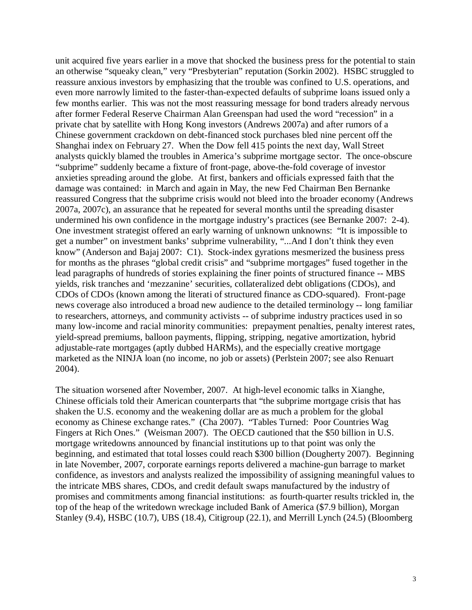unit acquired five years earlier in a move that shocked the business press for the potential to stain an otherwise "squeaky clean," very "Presbyterian" reputation (Sorkin 2002). HSBC struggled to reassure anxious investors by emphasizing that the trouble was confined to U.S. operations, and even more narrowly limited to the faster-than-expected defaults of subprime loans issued only a few months earlier. This was not the most reassuring message for bond traders already nervous after former Federal Reserve Chairman Alan Greenspan had used the word "recession" in a private chat by satellite with Hong Kong investors (Andrews 2007a) and after rumors of a Chinese government crackdown on debt-financed stock purchases bled nine percent off the Shanghai index on February 27. When the Dow fell 415 points the next day, Wall Street analysts quickly blamed the troubles in America's subprime mortgage sector. The once-obscure "subprime" suddenly became a fixture of front-page, above-the-fold coverage of investor anxieties spreading around the globe. At first, bankers and officials expressed faith that the damage was contained: in March and again in May, the new Fed Chairman Ben Bernanke reassured Congress that the subprime crisis would not bleed into the broader economy (Andrews 2007a, 2007c), an assurance that he repeated for several months until the spreading disaster undermined his own confidence in the mortgage industry's practices (see Bernanke 2007: 2-4). One investment strategist offered an early warning of unknown unknowns: "It is impossible to get a number" on investment banks' subprime vulnerability, "...And I don't think they even know" (Anderson and Bajaj 2007: C1). Stock-index gyrations mesmerized the business press for months as the phrases "global credit crisis" and "subprime mortgages" fused together in the lead paragraphs of hundreds of stories explaining the finer points of structured finance -- MBS yields, risk tranches and 'mezzanine' securities, collateralized debt obligations (CDOs), and CDOs of CDOs (known among the literati of structured finance as CDO-squared). Front-page news coverage also introduced a broad new audience to the detailed terminology -- long familiar to researchers, attorneys, and community activists -- of subprime industry practices used in so many low-income and racial minority communities: prepayment penalties, penalty interest rates, yield-spread premiums, balloon payments, flipping, stripping, negative amortization, hybrid adjustable-rate mortgages (aptly dubbed HARMs), and the especially creative mortgage marketed as the NINJA loan (no income, no job or assets) (Perlstein 2007; see also Renuart 2004).

The situation worsened after November, 2007. At high-level economic talks in Xianghe, Chinese officials told their American counterparts that "the subprime mortgage crisis that has shaken the U.S. economy and the weakening dollar are as much a problem for the global economy as Chinese exchange rates." (Cha 2007). "Tables Turned: Poor Countries Wag Fingers at Rich Ones." (Weisman 2007). The OECD cautioned that the \$50 billion in U.S. mortgage writedowns announced by financial institutions up to that point was only the beginning, and estimated that total losses could reach \$300 billion (Dougherty 2007). Beginning in late November, 2007, corporate earnings reports delivered a machine-gun barrage to market confidence, as investors and analysts realized the impossibility of assigning meaningful values to the intricate MBS shares, CDOs, and credit default swaps manufactured by the industry of promises and commitments among financial institutions: as fourth-quarter results trickled in, the top of the heap of the writedown wreckage included Bank of America (\$7.9 billion), Morgan Stanley (9.4), HSBC (10.7), UBS (18.4), Citigroup (22.1), and Merrill Lynch (24.5) (Bloomberg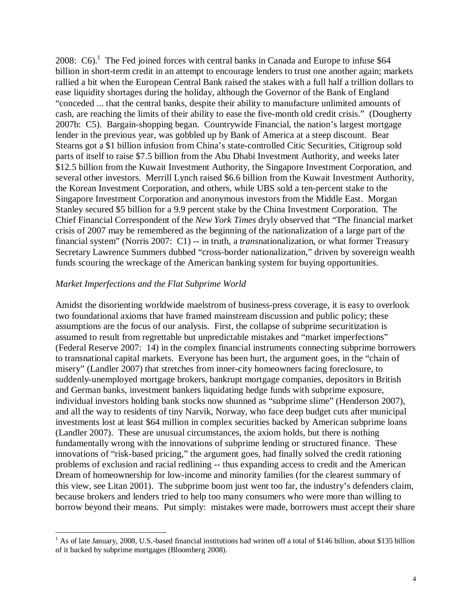2008: C6).<sup>1</sup> The Fed joined forces with central banks in Canada and Europe to infuse \$64 billion in short-term credit in an attempt to encourage lenders to trust one another again; markets rallied a bit when the European Central Bank raised the stakes with a full half a trillion dollars to ease liquidity shortages during the holiday, although the Governor of the Bank of England "conceded ... that the central banks, despite their ability to manufacture unlimited amounts of cash, are reaching the limits of their ability to ease the five-month old credit crisis." (Dougherty 2007b: C5). Bargain-shopping began. Countrywide Financial, the nation's largest mortgage lender in the previous year, was gobbled up by Bank of America at a steep discount. Bear Stearns got a \$1 billion infusion from China's state-controlled Citic Securities, Citigroup sold parts of itself to raise \$7.5 billion from the Abu Dhabi Investment Authority, and weeks later \$12.5 billion from the Kuwait Investment Authority, the Singapore Investment Corporation, and several other investors. Merrill Lynch raised \$6.6 billion from the Kuwait Investment Authority, the Korean Investment Corporation, and others, while UBS sold a ten-percent stake to the Singapore Investment Corporation and anonymous investors from the Middle East. Morgan Stanley secured \$5 billion for a 9.9 percent stake by the China Investment Corporation. The Chief Financial Correspondent of the *New York Times* dryly observed that "The financial market crisis of 2007 may be remembered as the beginning of the nationalization of a large part of the financial system" (Norris 2007: C1) -- in truth, a *trans*nationalization, or what former Treasury Secretary Lawrence Summers dubbed "cross-border nationalization," driven by sovereign wealth funds scouring the wreckage of the American banking system for buying opportunities.

## *Market Imperfections and the Flat Subprime World*

Amidst the disorienting worldwide maelstrom of business-press coverage, it is easy to overlook two foundational axioms that have framed mainstream discussion and public policy; these assumptions are the focus of our analysis. First, the collapse of subprime securitization is assumed to result from regrettable but unpredictable mistakes and "market imperfections" (Federal Reserve 2007: 14) in the complex financial instruments connecting subprime borrowers to transnational capital markets. Everyone has been hurt, the argument goes, in the "chain of misery" (Landler 2007) that stretches from inner-city homeowners facing foreclosure, to suddenly-unemployed mortgage brokers, bankrupt mortgage companies, depositors in British and German banks, investment bankers liquidating hedge funds with subprime exposure, individual investors holding bank stocks now shunned as "subprime slime" (Henderson 2007), and all the way to residents of tiny Narvik, Norway, who face deep budget cuts after municipal investments lost at least \$64 million in complex securities backed by American subprime loans (Landler 2007). These are unusual circumstances, the axiom holds, but there is nothing fundamentally wrong with the innovations of subprime lending or structured finance. These innovations of "risk-based pricing," the argument goes, had finally solved the credit rationing problems of exclusion and racial redlining -- thus expanding access to credit and the American Dream of homeownership for low-income and minority families (for the clearest summary of this view, see Litan 2001). The subprime boom just went too far, the industry's defenders claim, because brokers and lenders tried to help too many consumers who were more than willing to borrow beyond their means. Put simply: mistakes were made, borrowers must accept their share

<sup>1&</sup>lt;br><sup>1</sup> As of late January, 2008, U.S.-based financial institutions had written off a total of \$146 billion, about \$135 billion of it backed by subprime mortgages (Bloomberg 2008).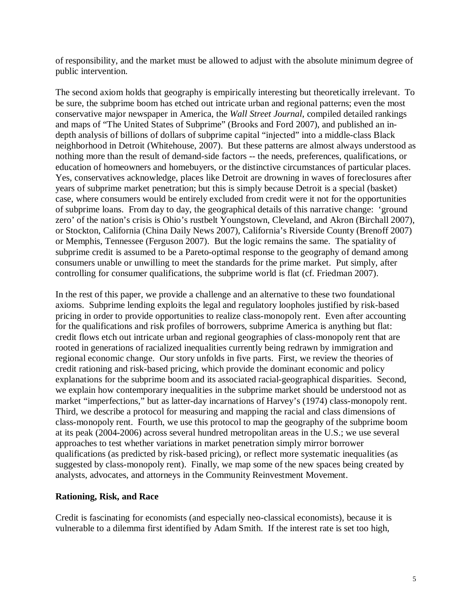of responsibility, and the market must be allowed to adjust with the absolute minimum degree of public intervention.

The second axiom holds that geography is empirically interesting but theoretically irrelevant. To be sure, the subprime boom has etched out intricate urban and regional patterns; even the most conservative major newspaper in America, the *Wall Street Journal*, compiled detailed rankings and maps of "The United States of Subprime" (Brooks and Ford 2007), and published an indepth analysis of billions of dollars of subprime capital "injected" into a middle-class Black neighborhood in Detroit (Whitehouse, 2007). But these patterns are almost always understood as nothing more than the result of demand-side factors -- the needs, preferences, qualifications, or education of homeowners and homebuyers, or the distinctive circumstances of particular places. Yes, conservatives acknowledge, places like Detroit are drowning in waves of foreclosures after years of subprime market penetration; but this is simply because Detroit is a special (basket) case, where consumers would be entirely excluded from credit were it not for the opportunities of subprime loans. From day to day, the geographical details of this narrative change: 'ground zero' of the nation's crisis is Ohio's rustbelt Youngstown, Cleveland, and Akron (Birchall 2007), or Stockton, California (China Daily News 2007), California's Riverside County (Brenoff 2007) or Memphis, Tennessee (Ferguson 2007). But the logic remains the same. The spatiality of subprime credit is assumed to be a Pareto-optimal response to the geography of demand among consumers unable or unwilling to meet the standards for the prime market. Put simply, after controlling for consumer qualifications, the subprime world is flat (cf. Friedman 2007).

In the rest of this paper, we provide a challenge and an alternative to these two foundational axioms. Subprime lending exploits the legal and regulatory loopholes justified by risk-based pricing in order to provide opportunities to realize class-monopoly rent. Even after accounting for the qualifications and risk profiles of borrowers, subprime America is anything but flat: credit flows etch out intricate urban and regional geographies of class-monopoly rent that are rooted in generations of racialized inequalities currently being redrawn by immigration and regional economic change. Our story unfolds in five parts. First, we review the theories of credit rationing and risk-based pricing, which provide the dominant economic and policy explanations for the subprime boom and its associated racial-geographical disparities. Second, we explain how contemporary inequalities in the subprime market should be understood not as market "imperfections," but as latter-day incarnations of Harvey's (1974) class-monopoly rent. Third, we describe a protocol for measuring and mapping the racial and class dimensions of class-monopoly rent. Fourth, we use this protocol to map the geography of the subprime boom at its peak (2004-2006) across several hundred metropolitan areas in the U.S.; we use several approaches to test whether variations in market penetration simply mirror borrower qualifications (as predicted by risk-based pricing), or reflect more systematic inequalities (as suggested by class-monopoly rent). Finally, we map some of the new spaces being created by analysts, advocates, and attorneys in the Community Reinvestment Movement.

## **Rationing, Risk, and Race**

Credit is fascinating for economists (and especially neo-classical economists), because it is vulnerable to a dilemma first identified by Adam Smith. If the interest rate is set too high,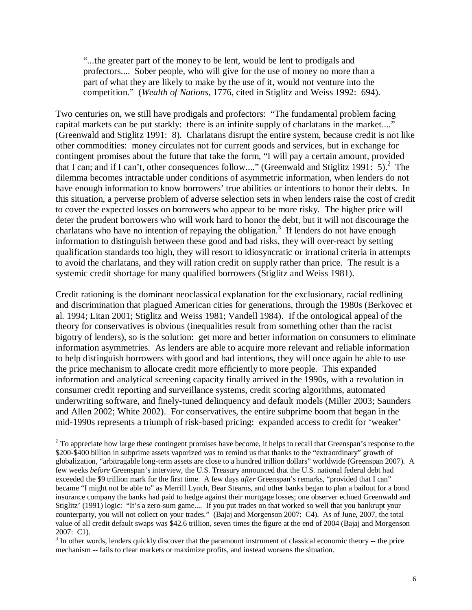"...the greater part of the money to be lent, would be lent to prodigals and profectors.... Sober people, who will give for the use of money no more than a part of what they are likely to make by the use of it, would not venture into the competition." (*Wealth of Nations*, 1776, cited in Stiglitz and Weiss 1992: 694).

Two centuries on, we still have prodigals and profectors: "The fundamental problem facing capital markets can be put starkly: there is an infinite supply of charlatans in the market...." (Greenwald and Stiglitz 1991: 8). Charlatans disrupt the entire system, because credit is not like other commodities: money circulates not for current goods and services, but in exchange for contingent promises about the future that take the form, "I will pay a certain amount, provided that I can; and if I can't, other consequences follow...." (Greenwald and Stiglitz 1991: 5).<sup>2</sup> The dilemma becomes intractable under conditions of asymmetric information, when lenders do not have enough information to know borrowers' true abilities or intentions to honor their debts. In this situation, a perverse problem of adverse selection sets in when lenders raise the cost of credit to cover the expected losses on borrowers who appear to be more risky. The higher price will deter the prudent borrowers who will work hard to honor the debt, but it will not discourage the charlatans who have no intention of repaying the obligation.<sup>3</sup> If lenders do not have enough information to distinguish between these good and bad risks, they will over-react by setting qualification standards too high, they will resort to idiosyncratic or irrational criteria in attempts to avoid the charlatans, and they will ration credit on supply rather than price. The result is a systemic credit shortage for many qualified borrowers (Stiglitz and Weiss 1981).

Credit rationing is the dominant neoclassical explanation for the exclusionary, racial redlining and discrimination that plagued American cities for generations, through the 1980s (Berkovec et al. 1994; Litan 2001; Stiglitz and Weiss 1981; Vandell 1984). If the ontological appeal of the theory for conservatives is obvious (inequalities result from something other than the racist bigotry of lenders), so is the solution: get more and better information on consumers to eliminate information asymmetries. As lenders are able to acquire more relevant and reliable information to help distinguish borrowers with good and bad intentions, they will once again be able to use the price mechanism to allocate credit more efficiently to more people. This expanded information and analytical screening capacity finally arrived in the 1990s, with a revolution in consumer credit reporting and surveillance systems, credit scoring algorithms, automated underwriting software, and finely-tuned delinquency and default models (Miller 2003; Saunders and Allen 2002; White 2002). For conservatives, the entire subprime boom that began in the mid-1990s represents a triumph of risk-based pricing: expanded access to credit for 'weaker'

<sup>&</sup>lt;sup>2</sup> To appreciate how large these contingent promises have become, it helps to recall that Greenspan's response to the \$200-\$400 billion in subprime assets vaporized was to remind us that thanks to the "extraordinary" growth of globalization, "arbitragable long-term assets are close to a hundred trillion dollars" worldwide (Greenspan 2007). A few weeks *before* Greenspan's interview, the U.S. Treasury announced that the U.S. national federal debt had exceeded the \$9 trillion mark for the first time. A few days *after* Greenspan's remarks, "provided that I can" became "I might not be able to" as Merrill Lynch, Bear Stearns, and other banks began to plan a bailout for a bond insurance company the banks had paid to hedge against their mortgage losses; one observer echoed Greenwald and Stiglitz' (1991) logic: "It's a zero-sum game.... If you put trades on that worked so well that you bankrupt your counterparty, you will not collect on your trades." (Bajaj and Morgenson 2007: C4). As of June, 2007, the total value of all credit default swaps was \$42.6 trillion, seven times the figure at the end of 2004 (Bajaj and Morgenson

<sup>2007:</sup> C1).<br><sup>3</sup> In other words, lenders quickly discover that the paramount instrument of classical economic theory -- the price mechanism -- fails to clear markets or maximize profits, and instead worsens the situation.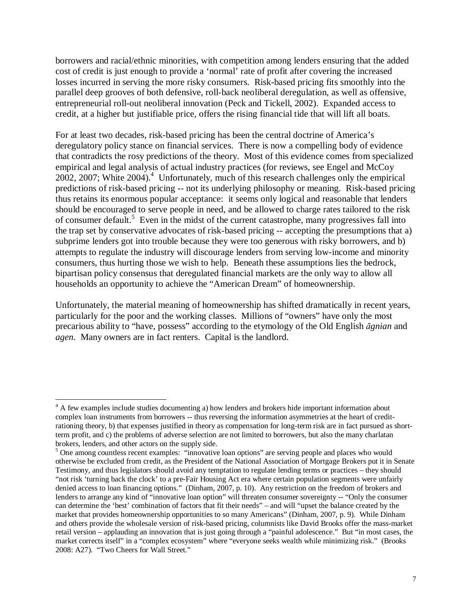borrowers and racial/ethnic minorities, with competition among lenders ensuring that the added cost of credit is just enough to provide a 'normal' rate of profit after covering the increased losses incurred in serving the more risky consumers. Risk-based pricing fits smoothly into the parallel deep grooves of both defensive, roll-back neoliberal deregulation, as well as offensive, entrepreneurial roll-out neoliberal innovation (Peck and Tickell, 2002). Expanded access to credit, at a higher but justifiable price, offers the rising financial tide that will lift all boats.

For at least two decades, risk-based pricing has been the central doctrine of America's deregulatory policy stance on financial services. There is now a compelling body of evidence that contradicts the rosy predictions of the theory. Most of this evidence comes from specialized empirical and legal analysis of actual industry practices (for reviews, see Engel and McCoy  $2002$ ,  $2007$ ; White  $2004$ ).<sup>4</sup> Unfortunately, much of this research challenges only the empirical predictions of risk-based pricing -- not its underlying philosophy or meaning. Risk-based pricing thus retains its enormous popular acceptance: it seems only logical and reasonable that lenders should be encouraged to serve people in need, and be allowed to charge rates tailored to the risk of consumer default.<sup>5</sup> Even in the midst of the current catastrophe, many progressives fall into the trap set by conservative advocates of risk-based pricing -- accepting the presumptions that a) subprime lenders got into trouble because they were too generous with risky borrowers, and b) attempts to regulate the industry will discourage lenders from serving low-income and minority consumers, thus hurting those we wish to help. Beneath these assumptions lies the bedrock, bipartisan policy consensus that deregulated financial markets are the only way to allow all households an opportunity to achieve the "American Dream" of homeownership.

Unfortunately, the material meaning of homeownership has shifted dramatically in recent years, particularly for the poor and the working classes. Millions of "owners" have only the most precarious ability to "have, possess" according to the etymology of the Old English ā*gnian* and *agen*. Many owners are in fact renters. Capital is the landlord.

<u>.</u>

<sup>&</sup>lt;sup>4</sup> A few examples include studies documenting a) how lenders and brokers hide important information about complex loan instruments from borrowers -- thus reversing the information asymmetries at the heart of creditrationing theory, b) that expenses justified in theory as compensation for long-term risk are in fact pursued as shortterm profit, and c) the problems of adverse selection are not limited to borrowers, but also the many charlatan brokers, lenders, and other actors on the supply side.

<sup>&</sup>lt;sup>5</sup> One among countless recent examples: "innovative loan options" are serving people and places who would otherwise be excluded from credit, as the President of the National Association of Mortgage Brokers put it in Senate Testimony, and thus legislators should avoid any temptation to regulate lending terms or practices – they should "not risk 'turning back the clock' to a pre-Fair Housing Act era where certain population segments were unfairly denied access to loan financing options." (Dinham, 2007, p. 10). Any restriction on the freedom of brokers and lenders to arrange any kind of "innovative loan option" will threaten consumer sovereignty -- "Only the consumer can determine the 'best' combination of factors that fit their needs" – and will "upset the balance created by the market that provides homeownership opportunities to so many Americans" (Dinham, 2007, p. 9). While Dinham and others provide the wholesale version of risk-based pricing, columnists like David Brooks offer the mass-market retail version – applauding an innovation that is just going through a "painful adolescence." But "in most cases, the market corrects itself" in a "complex ecosystem" where "everyone seeks wealth while minimizing risk." (Brooks 2008: A27). "Two Cheers for Wall Street."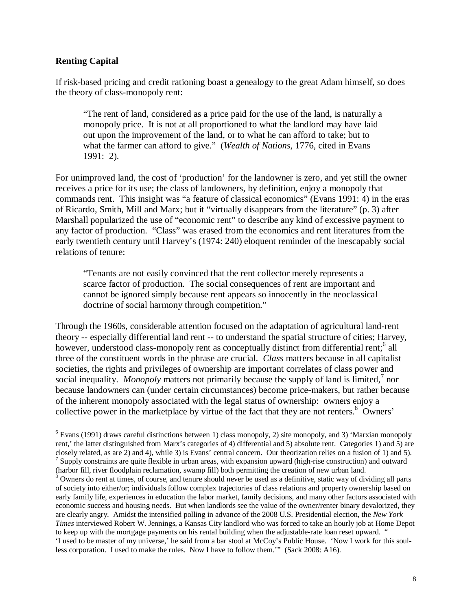## **Renting Capital**

<u>.</u>

If risk-based pricing and credit rationing boast a genealogy to the great Adam himself, so does the theory of class-monopoly rent:

"The rent of land, considered as a price paid for the use of the land, is naturally a monopoly price. It is not at all proportioned to what the landlord may have laid out upon the improvement of the land, or to what he can afford to take; but to what the farmer can afford to give." (*Wealth of Nations*, 1776, cited in Evans 1991: 2).

For unimproved land, the cost of 'production' for the landowner is zero, and yet still the owner receives a price for its use; the class of landowners, by definition, enjoy a monopoly that commands rent. This insight was "a feature of classical economics" (Evans 1991: 4) in the eras of Ricardo, Smith, Mill and Marx; but it "virtually disappears from the literature" (p. 3) after Marshall popularized the use of "economic rent" to describe any kind of excessive payment to any factor of production. "Class" was erased from the economics and rent literatures from the early twentieth century until Harvey's (1974: 240) eloquent reminder of the inescapably social relations of tenure:

"Tenants are not easily convinced that the rent collector merely represents a scarce factor of production. The social consequences of rent are important and cannot be ignored simply because rent appears so innocently in the neoclassical doctrine of social harmony through competition."

Through the 1960s, considerable attention focused on the adaptation of agricultural land-rent theory -- especially differential land rent -- to understand the spatial structure of cities; Harvey, however, understood class-monopoly rent as conceptually distinct from differential rent;<sup>6</sup> all three of the constituent words in the phrase are crucial. *Class* matters because in all capitalist societies, the rights and privileges of ownership are important correlates of class power and social inequality. *Monopoly* matters not primarily because the supply of land is limited,<sup>7</sup> nor because landowners can (under certain circumstances) become price-makers, but rather because of the inherent monopoly associated with the legal status of ownership: owners enjoy a collective power in the marketplace by virtue of the fact that they are not renters.<sup>8</sup> Owners'

(harbor fill, river floodplain reclamation, swamp fill) both permitting the creation of new urban land.

<sup>&</sup>lt;sup>6</sup> Evans (1991) draws careful distinctions between 1) class monopoly, 2) site monopoly, and 3) 'Marxian monopoly rent,' the latter distinguished from Marx's categories of 4) differential and 5) absolute rent. Categories 1) and 5) are closely related, as are 2) and 4), while 3) is Evans' central concern. Our theorization relies on a fusion of 1) and 5).<br><sup>7</sup> Supply constraints are quite flexible in urban areas, with expansion upward (high-rise construct

<sup>&</sup>lt;sup>8</sup> Owners do rent at times, of course, and tenure should never be used as a definitive, static way of dividing all parts of society into either/or; individuals follow complex trajectories of class relations and property ownership based on early family life, experiences in education the labor market, family decisions, and many other factors associated with economic success and housing needs. But when landlords see the value of the owner/renter binary devalorized, they are clearly angry. Amidst the intensified polling in advance of the 2008 U.S. Presidential election, the *New York Times* interviewed Robert W. Jennings, a Kansas City landlord who was forced to take an hourly job at Home Depot to keep up with the mortgage payments on his rental building when the adjustable-rate loan reset upward. " 'I used to be master of my universe,' he said from a bar stool at McCoy's Public House. 'Now I work for this soulless corporation. I used to make the rules. Now I have to follow them.'" (Sack 2008: A16).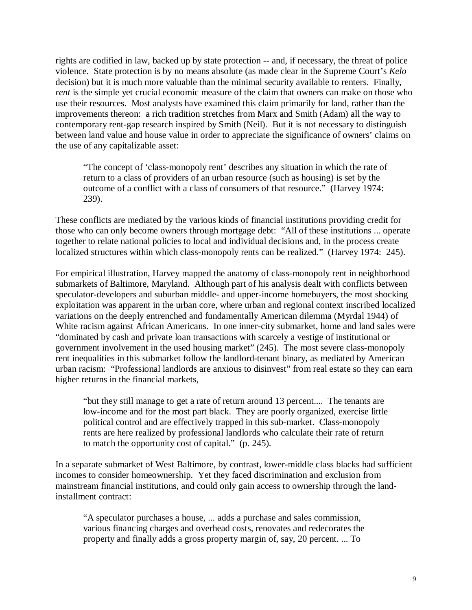rights are codified in law, backed up by state protection -- and, if necessary, the threat of police violence. State protection is by no means absolute (as made clear in the Supreme Court's *Kelo* decision) but it is much more valuable than the minimal security available to renters. Finally, *rent* is the simple yet crucial economic measure of the claim that owners can make on those who use their resources. Most analysts have examined this claim primarily for land, rather than the improvements thereon: a rich tradition stretches from Marx and Smith (Adam) all the way to contemporary rent-gap research inspired by Smith (Neil). But it is not necessary to distinguish between land value and house value in order to appreciate the significance of owners' claims on the use of any capitalizable asset:

"The concept of 'class-monopoly rent' describes any situation in which the rate of return to a class of providers of an urban resource (such as housing) is set by the outcome of a conflict with a class of consumers of that resource." (Harvey 1974: 239).

These conflicts are mediated by the various kinds of financial institutions providing credit for those who can only become owners through mortgage debt: "All of these institutions ... operate together to relate national policies to local and individual decisions and, in the process create localized structures within which class-monopoly rents can be realized." (Harvey 1974: 245).

For empirical illustration, Harvey mapped the anatomy of class-monopoly rent in neighborhood submarkets of Baltimore, Maryland. Although part of his analysis dealt with conflicts between speculator-developers and suburban middle- and upper-income homebuyers, the most shocking exploitation was apparent in the urban core, where urban and regional context inscribed localized variations on the deeply entrenched and fundamentally American dilemma (Myrdal 1944) of White racism against African Americans. In one inner-city submarket, home and land sales were "dominated by cash and private loan transactions with scarcely a vestige of institutional or government involvement in the used housing market" (245). The most severe class-monopoly rent inequalities in this submarket follow the landlord-tenant binary, as mediated by American urban racism: "Professional landlords are anxious to disinvest" from real estate so they can earn higher returns in the financial markets,

"but they still manage to get a rate of return around 13 percent.... The tenants are low-income and for the most part black. They are poorly organized, exercise little political control and are effectively trapped in this sub-market. Class-monopoly rents are here realized by professional landlords who calculate their rate of return to match the opportunity cost of capital." (p. 245).

In a separate submarket of West Baltimore, by contrast, lower-middle class blacks had sufficient incomes to consider homeownership. Yet they faced discrimination and exclusion from mainstream financial institutions, and could only gain access to ownership through the landinstallment contract:

"A speculator purchases a house, ... adds a purchase and sales commission, various financing charges and overhead costs, renovates and redecorates the property and finally adds a gross property margin of, say, 20 percent. ... To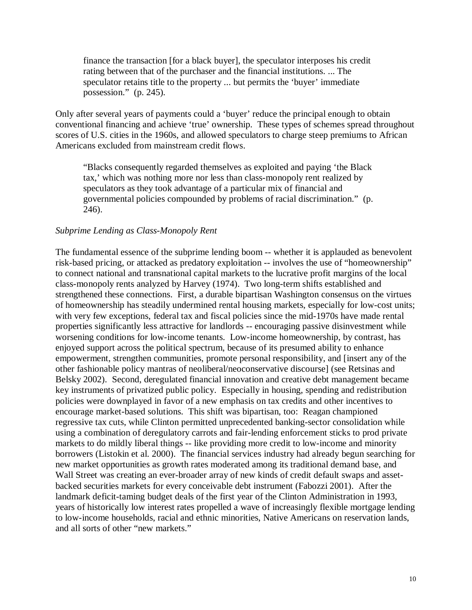finance the transaction [for a black buyer], the speculator interposes his credit rating between that of the purchaser and the financial institutions. ... The speculator retains title to the property ... but permits the 'buyer' immediate possession." (p. 245).

Only after several years of payments could a 'buyer' reduce the principal enough to obtain conventional financing and achieve 'true' ownership. These types of schemes spread throughout scores of U.S. cities in the 1960s, and allowed speculators to charge steep premiums to African Americans excluded from mainstream credit flows.

"Blacks consequently regarded themselves as exploited and paying 'the Black tax,' which was nothing more nor less than class-monopoly rent realized by speculators as they took advantage of a particular mix of financial and governmental policies compounded by problems of racial discrimination." (p. 246).

### *Subprime Lending as Class-Monopoly Rent*

The fundamental essence of the subprime lending boom -- whether it is applauded as benevolent risk-based pricing, or attacked as predatory exploitation -- involves the use of "homeownership" to connect national and transnational capital markets to the lucrative profit margins of the local class-monopoly rents analyzed by Harvey (1974). Two long-term shifts established and strengthened these connections. First, a durable bipartisan Washington consensus on the virtues of homeownership has steadily undermined rental housing markets, especially for low-cost units; with very few exceptions, federal tax and fiscal policies since the mid-1970s have made rental properties significantly less attractive for landlords -- encouraging passive disinvestment while worsening conditions for low-income tenants. Low-income homeownership, by contrast, has enjoyed support across the political spectrum, because of its presumed ability to enhance empowerment, strengthen communities, promote personal responsibility, and [insert any of the other fashionable policy mantras of neoliberal/neoconservative discourse] (see Retsinas and Belsky 2002). Second, deregulated financial innovation and creative debt management became key instruments of privatized public policy. Especially in housing, spending and redistribution policies were downplayed in favor of a new emphasis on tax credits and other incentives to encourage market-based solutions. This shift was bipartisan, too: Reagan championed regressive tax cuts, while Clinton permitted unprecedented banking-sector consolidation while using a combination of deregulatory carrots and fair-lending enforcement sticks to prod private markets to do mildly liberal things -- like providing more credit to low-income and minority borrowers (Listokin et al. 2000). The financial services industry had already begun searching for new market opportunities as growth rates moderated among its traditional demand base, and Wall Street was creating an ever-broader array of new kinds of credit default swaps and assetbacked securities markets for every conceivable debt instrument (Fabozzi 2001). After the landmark deficit-taming budget deals of the first year of the Clinton Administration in 1993, years of historically low interest rates propelled a wave of increasingly flexible mortgage lending to low-income households, racial and ethnic minorities, Native Americans on reservation lands, and all sorts of other "new markets."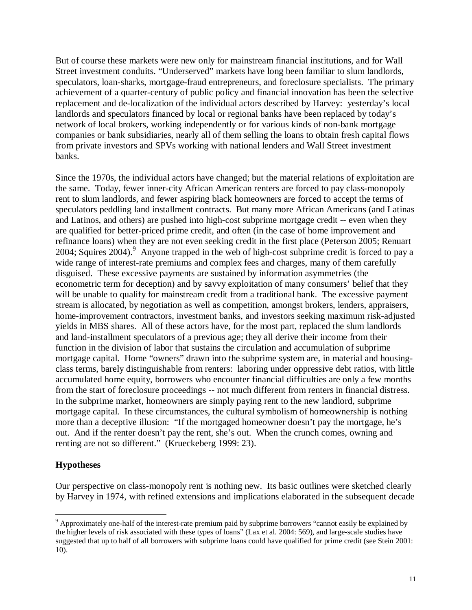But of course these markets were new only for mainstream financial institutions, and for Wall Street investment conduits. "Underserved" markets have long been familiar to slum landlords, speculators, loan-sharks, mortgage-fraud entrepreneurs, and foreclosure specialists. The primary achievement of a quarter-century of public policy and financial innovation has been the selective replacement and de-localization of the individual actors described by Harvey: yesterday's local landlords and speculators financed by local or regional banks have been replaced by today's network of local brokers, working independently or for various kinds of non-bank mortgage companies or bank subsidiaries, nearly all of them selling the loans to obtain fresh capital flows from private investors and SPVs working with national lenders and Wall Street investment banks.

Since the 1970s, the individual actors have changed; but the material relations of exploitation are the same. Today, fewer inner-city African American renters are forced to pay class-monopoly rent to slum landlords, and fewer aspiring black homeowners are forced to accept the terms of speculators peddling land installment contracts. But many more African Americans (and Latinas and Latinos, and others) are pushed into high-cost subprime mortgage credit -- even when they are qualified for better-priced prime credit, and often (in the case of home improvement and refinance loans) when they are not even seeking credit in the first place (Peterson 2005; Renuart 2004; Squires 2004). Anyone trapped in the web of high-cost subprime credit is forced to pay a wide range of interest-rate premiums and complex fees and charges, many of them carefully disguised. These excessive payments are sustained by information asymmetries (the econometric term for deception) and by savvy exploitation of many consumers' belief that they will be unable to qualify for mainstream credit from a traditional bank. The excessive payment stream is allocated, by negotiation as well as competition, amongst brokers, lenders, appraisers, home-improvement contractors, investment banks, and investors seeking maximum risk-adjusted yields in MBS shares. All of these actors have, for the most part, replaced the slum landlords and land-installment speculators of a previous age; they all derive their income from their function in the division of labor that sustains the circulation and accumulation of subprime mortgage capital. Home "owners" drawn into the subprime system are, in material and housingclass terms, barely distinguishable from renters: laboring under oppressive debt ratios, with little accumulated home equity, borrowers who encounter financial difficulties are only a few months from the start of foreclosure proceedings -- not much different from renters in financial distress. In the subprime market, homeowners are simply paying rent to the new landlord, subprime mortgage capital. In these circumstances, the cultural symbolism of homeownership is nothing more than a deceptive illusion: "If the mortgaged homeowner doesn't pay the mortgage, he's out. And if the renter doesn't pay the rent, she's out. When the crunch comes, owning and renting are not so different." (Krueckeberg 1999: 23).

## **Hypotheses**

Our perspective on class-monopoly rent is nothing new. Its basic outlines were sketched clearly by Harvey in 1974, with refined extensions and implications elaborated in the subsequent decade

<sup>&</sup>lt;u>.</u> <sup>9</sup> Approximately one-half of the interest-rate premium paid by subprime borrowers "cannot easily be explained by the higher levels of risk associated with these types of loans" (Lax et al. 2004: 569), and large-scale studies have suggested that up to half of all borrowers with subprime loans could have qualified for prime credit (see Stein 2001: 10).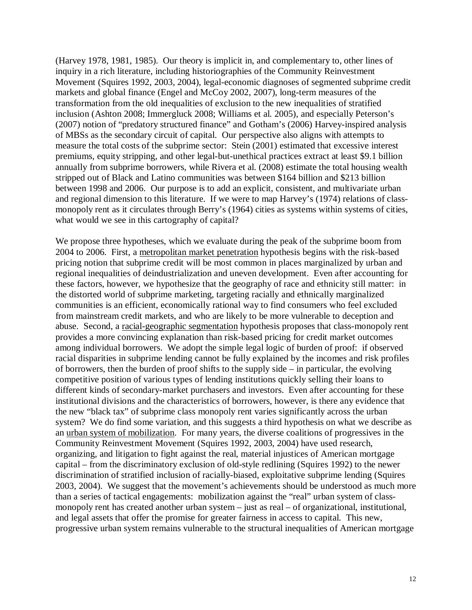(Harvey 1978, 1981, 1985). Our theory is implicit in, and complementary to, other lines of inquiry in a rich literature, including historiographies of the Community Reinvestment Movement (Squires 1992, 2003, 2004), legal-economic diagnoses of segmented subprime credit markets and global finance (Engel and McCoy 2002, 2007), long-term measures of the transformation from the old inequalities of exclusion to the new inequalities of stratified inclusion (Ashton 2008; Immergluck 2008; Williams et al. 2005), and especially Peterson's (2007) notion of "predatory structured finance" and Gotham's (2006) Harvey-inspired analysis of MBSs as the secondary circuit of capital. Our perspective also aligns with attempts to measure the total costs of the subprime sector: Stein (2001) estimated that excessive interest premiums, equity stripping, and other legal-but-unethical practices extract at least \$9.1 billion annually from subprime borrowers, while Rivera et al. (2008) estimate the total housing wealth stripped out of Black and Latino communities was between \$164 billion and \$213 billion between 1998 and 2006. Our purpose is to add an explicit, consistent, and multivariate urban and regional dimension to this literature. If we were to map Harvey's (1974) relations of classmonopoly rent as it circulates through Berry's (1964) cities as systems within systems of cities, what would we see in this cartography of capital?

We propose three hypotheses, which we evaluate during the peak of the subprime boom from 2004 to 2006. First, a metropolitan market penetration hypothesis begins with the risk-based pricing notion that subprime credit will be most common in places marginalized by urban and regional inequalities of deindustrialization and uneven development. Even after accounting for these factors, however, we hypothesize that the geography of race and ethnicity still matter: in the distorted world of subprime marketing, targeting racially and ethnically marginalized communities is an efficient, economically rational way to find consumers who feel excluded from mainstream credit markets, and who are likely to be more vulnerable to deception and abuse. Second, a racial-geographic segmentation hypothesis proposes that class-monopoly rent provides a more convincing explanation than risk-based pricing for credit market outcomes among individual borrowers. We adopt the simple legal logic of burden of proof: if observed racial disparities in subprime lending cannot be fully explained by the incomes and risk profiles of borrowers, then the burden of proof shifts to the supply side – in particular, the evolving competitive position of various types of lending institutions quickly selling their loans to different kinds of secondary-market purchasers and investors. Even after accounting for these institutional divisions and the characteristics of borrowers, however, is there any evidence that the new "black tax" of subprime class monopoly rent varies significantly across the urban system? We do find some variation, and this suggests a third hypothesis on what we describe as an urban system of mobilization. For many years, the diverse coalitions of progressives in the Community Reinvestment Movement (Squires 1992, 2003, 2004) have used research, organizing, and litigation to fight against the real, material injustices of American mortgage capital – from the discriminatory exclusion of old-style redlining (Squires 1992) to the newer discrimination of stratified inclusion of racially-biased, exploitative subprime lending (Squires 2003, 2004). We suggest that the movement's achievements should be understood as much more than a series of tactical engagements: mobilization against the "real" urban system of classmonopoly rent has created another urban system – just as real – of organizational, institutional, and legal assets that offer the promise for greater fairness in access to capital. This new, progressive urban system remains vulnerable to the structural inequalities of American mortgage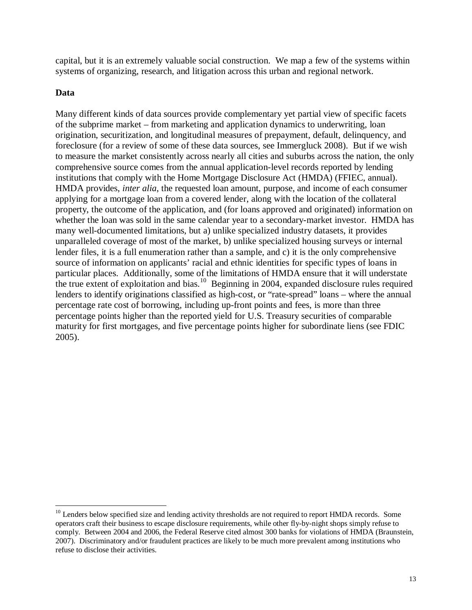capital, but it is an extremely valuable social construction. We map a few of the systems within systems of organizing, research, and litigation across this urban and regional network.

# **Data**

Many different kinds of data sources provide complementary yet partial view of specific facets of the subprime market – from marketing and application dynamics to underwriting, loan origination, securitization, and longitudinal measures of prepayment, default, delinquency, and foreclosure (for a review of some of these data sources, see Immergluck 2008). But if we wish to measure the market consistently across nearly all cities and suburbs across the nation, the only comprehensive source comes from the annual application-level records reported by lending institutions that comply with the Home Mortgage Disclosure Act (HMDA) (FFIEC, annual). HMDA provides, *inter alia*, the requested loan amount, purpose, and income of each consumer applying for a mortgage loan from a covered lender, along with the location of the collateral property, the outcome of the application, and (for loans approved and originated) information on whether the loan was sold in the same calendar year to a secondary-market investor. HMDA has many well-documented limitations, but a) unlike specialized industry datasets, it provides unparalleled coverage of most of the market, b) unlike specialized housing surveys or internal lender files, it is a full enumeration rather than a sample, and c) it is the only comprehensive source of information on applicants' racial and ethnic identities for specific types of loans in particular places. Additionally, some of the limitations of HMDA ensure that it will understate the true extent of exploitation and bias.<sup>10</sup> Beginning in 2004, expanded disclosure rules required lenders to identify originations classified as high-cost, or "rate-spread" loans – where the annual percentage rate cost of borrowing, including up-front points and fees, is more than three percentage points higher than the reported yield for U.S. Treasury securities of comparable maturity for first mortgages, and five percentage points higher for subordinate liens (see FDIC 2005).

<sup>&</sup>lt;u>.</u> <sup>10</sup> Lenders below specified size and lending activity thresholds are not required to report HMDA records. Some operators craft their business to escape disclosure requirements, while other fly-by-night shops simply refuse to comply. Between 2004 and 2006, the Federal Reserve cited almost 300 banks for violations of HMDA (Braunstein, 2007). Discriminatory and/or fraudulent practices are likely to be much more prevalent among institutions who refuse to disclose their activities.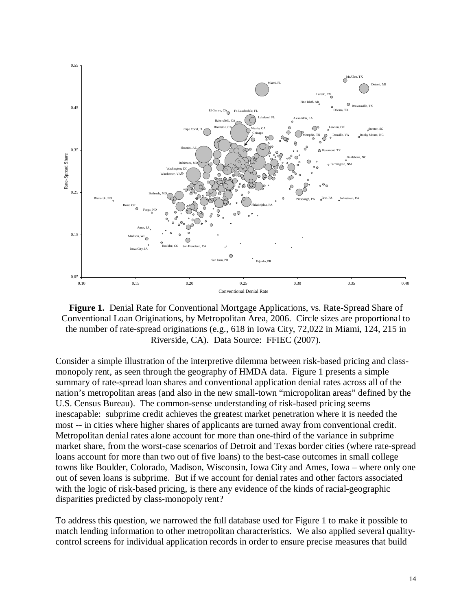

**Figure 1.** Denial Rate for Conventional Mortgage Applications, vs. Rate-Spread Share of Conventional Loan Originations, by Metropolitan Area, 2006. Circle sizes are proportional to the number of rate-spread originations (e.g., 618 in Iowa City, 72,022 in Miami, 124, 215 in Riverside, CA). Data Source: FFIEC (2007).

Consider a simple illustration of the interpretive dilemma between risk-based pricing and classmonopoly rent, as seen through the geography of HMDA data. Figure 1 presents a simple summary of rate-spread loan shares and conventional application denial rates across all of the nation's metropolitan areas (and also in the new small-town "micropolitan areas" defined by the U.S. Census Bureau). The common-sense understanding of risk-based pricing seems inescapable: subprime credit achieves the greatest market penetration where it is needed the most -- in cities where higher shares of applicants are turned away from conventional credit. Metropolitan denial rates alone account for more than one-third of the variance in subprime market share, from the worst-case scenarios of Detroit and Texas border cities (where rate-spread loans account for more than two out of five loans) to the best-case outcomes in small college towns like Boulder, Colorado, Madison, Wisconsin, Iowa City and Ames, Iowa – where only one out of seven loans is subprime. But if we account for denial rates and other factors associated with the logic of risk-based pricing, is there any evidence of the kinds of racial-geographic disparities predicted by class-monopoly rent?

To address this question, we narrowed the full database used for Figure 1 to make it possible to match lending information to other metropolitan characteristics. We also applied several qualitycontrol screens for individual application records in order to ensure precise measures that build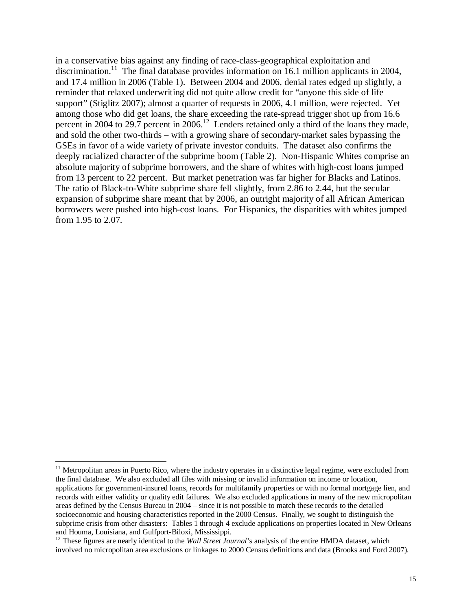in a conservative bias against any finding of race-class-geographical exploitation and discrimination.<sup>11</sup> The final database provides information on 16.1 million applicants in 2004, and 17.4 million in 2006 (Table 1). Between 2004 and 2006, denial rates edged up slightly, a reminder that relaxed underwriting did not quite allow credit for "anyone this side of life support" (Stiglitz 2007); almost a quarter of requests in 2006, 4.1 million, were rejected. Yet among those who did get loans, the share exceeding the rate-spread trigger shot up from 16.6 percent in 2004 to 29.7 percent in 2006.<sup>12</sup> Lenders retained only a third of the loans they made, and sold the other two-thirds – with a growing share of secondary-market sales bypassing the GSEs in favor of a wide variety of private investor conduits. The dataset also confirms the deeply racialized character of the subprime boom (Table 2). Non-Hispanic Whites comprise an absolute majority of subprime borrowers, and the share of whites with high-cost loans jumped from 13 percent to 22 percent. But market penetration was far higher for Blacks and Latinos. The ratio of Black-to-White subprime share fell slightly, from 2.86 to 2.44, but the secular expansion of subprime share meant that by 2006, an outright majority of all African American borrowers were pushed into high-cost loans. For Hispanics, the disparities with whites jumped from 1.95 to 2.07.

-

<sup>&</sup>lt;sup>11</sup> Metropolitan areas in Puerto Rico, where the industry operates in a distinctive legal regime, were excluded from the final database. We also excluded all files with missing or invalid information on income or location, applications for government-insured loans, records for multifamily properties or with no formal mortgage lien, and records with either validity or quality edit failures. We also excluded applications in many of the new micropolitan areas defined by the Census Bureau in 2004 – since it is not possible to match these records to the detailed socioeconomic and housing characteristics reported in the 2000 Census. Finally, we sought to distinguish the subprime crisis from other disasters: Tables 1 through 4 exclude applications on properties located in New Orleans and Houma, Louisiana, and Gulfport-Biloxi, Mississippi.

<sup>&</sup>lt;sup>12</sup> These figures are nearly identical to the *Wall Street Journal*'s analysis of the entire HMDA dataset, which involved no micropolitan area exclusions or linkages to 2000 Census definitions and data (Brooks and Ford 2007).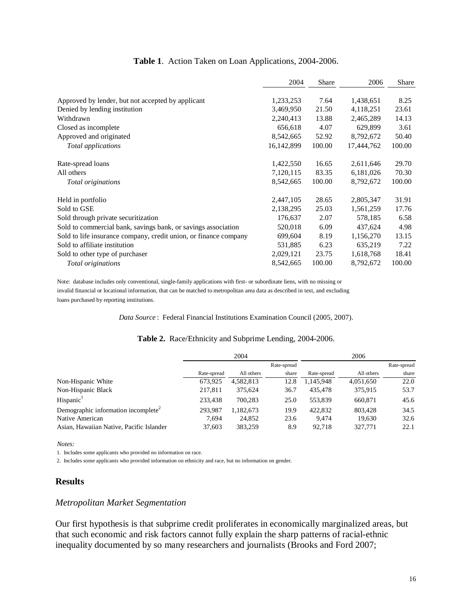|                                                                  | 2004       | Share  | 2006       | Share  |  |
|------------------------------------------------------------------|------------|--------|------------|--------|--|
| Approved by lender, but not accepted by applicant                | 1,233,253  | 7.64   | 1,438,651  | 8.25   |  |
| Denied by lending institution                                    | 3,469,950  | 21.50  | 4,118,251  | 23.61  |  |
| Withdrawn                                                        | 2,240,413  | 13.88  | 2,465,289  | 14.13  |  |
| Closed as incomplete                                             | 656,618    | 4.07   | 629,899    | 3.61   |  |
| Approved and originated                                          | 8,542,665  | 52.92  | 8,792,672  | 50.40  |  |
| Total applications                                               | 16,142,899 | 100.00 | 17,444,762 | 100.00 |  |
| Rate-spread loans                                                | 1,422,550  | 16.65  | 2,611,646  | 29.70  |  |
| All others                                                       | 7,120,115  | 83.35  | 6,181,026  | 70.30  |  |
| Total originations                                               | 8,542,665  | 100.00 | 8,792,672  | 100.00 |  |
| Held in portfolio                                                | 2,447,105  | 28.65  | 2,805,347  | 31.91  |  |
| Sold to GSE                                                      | 2,138,295  | 25.03  | 1,561,259  | 17.76  |  |
| Sold through private securitization                              | 176,637    | 2.07   | 578,185    | 6.58   |  |
| Sold to commercial bank, savings bank, or savings association    | 520,018    | 6.09   | 437,624    | 4.98   |  |
| Sold to life insurance company, credit union, or finance company | 699,604    | 8.19   | 1,156,270  | 13.15  |  |
| Sold to affiliate institution                                    | 531,885    | 6.23   | 635,219    | 7.22   |  |
| Sold to other type of purchaser                                  | 2,029,121  | 23.75  | 1,618,768  | 18.41  |  |
| Total originations                                               | 8,542,665  | 100.00 | 8,792,672  | 100.00 |  |

### **Table 1**. Action Taken on Loan Applications, 2004-2006.

Note: database includes only conventional, single-family applications with first- or subordinate liens, with no missing or invalid financial or locational information, that can be matched to metropolitan area data as described in text, and excluding loans purchased by reporting institutions.

*Data Source* : Federal Financial Institutions Examination Council (2005, 2007).

#### **Table 2.** Race/Ethnicity and Subprime Lending, 2004-2006.

|                                                 | 2004        |            |             | 2006        |            |             |  |
|-------------------------------------------------|-------------|------------|-------------|-------------|------------|-------------|--|
|                                                 |             |            | Rate-spread |             |            | Rate-spread |  |
|                                                 | Rate-spread | All others | share       | Rate-spread | All others | share       |  |
| Non-Hispanic White                              | 673.925     | 4.582.813  | 12.8        | 1,145,948   | 4,051,650  | 22.0        |  |
| Non-Hispanic Black                              | 217.811     | 375.624    | 36.7        | 435,478     | 375.915    | 53.7        |  |
| Hispanic <sup>1</sup>                           | 233.438     | 700.283    | 25.0        | 553.839     | 660.871    | 45.6        |  |
| Demographic information incomplete <sup>2</sup> | 293.987     | 1.182.673  | 19.9        | 422,832     | 803.428    | 34.5        |  |
| Native American                                 | 7.694       | 24,852     | 23.6        | 9.474       | 19.630     | 32.6        |  |
| Asian, Hawaiian Native, Pacific Islander        | 37.603      | 383.259    | 8.9         | 92.718      | 327,771    | 22.1        |  |

*Notes:*

1. Includes some applicants who provided no information on race.

2. Includes some applicants who provided information on ethnicity and race, but no information on gender.

### **Results**

## *Metropolitan Market Segmentation*

Our first hypothesis is that subprime credit proliferates in economically marginalized areas, but that such economic and risk factors cannot fully explain the sharp patterns of racial-ethnic inequality documented by so many researchers and journalists (Brooks and Ford 2007;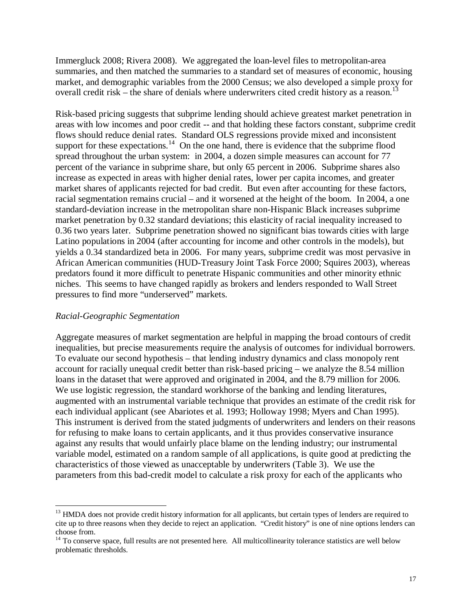Immergluck 2008; Rivera 2008). We aggregated the loan-level files to metropolitan-area summaries, and then matched the summaries to a standard set of measures of economic, housing market, and demographic variables from the 2000 Census; we also developed a simple proxy for overall credit risk – the share of denials where underwriters cited credit history as a reason.<sup>13</sup>

Risk-based pricing suggests that subprime lending should achieve greatest market penetration in areas with low incomes and poor credit -- and that holding these factors constant, subprime credit flows should reduce denial rates. Standard OLS regressions provide mixed and inconsistent support for these expectations.<sup>14</sup> On the one hand, there is evidence that the subprime flood spread throughout the urban system: in 2004, a dozen simple measures can account for 77 percent of the variance in subprime share, but only 65 percent in 2006. Subprime shares also increase as expected in areas with higher denial rates, lower per capita incomes, and greater market shares of applicants rejected for bad credit. But even after accounting for these factors, racial segmentation remains crucial – and it worsened at the height of the boom. In 2004, a one standard-deviation increase in the metropolitan share non-Hispanic Black increases subprime market penetration by 0.32 standard deviations; this elasticity of racial inequality increased to 0.36 two years later. Subprime penetration showed no significant bias towards cities with large Latino populations in 2004 (after accounting for income and other controls in the models), but yields a 0.34 standardized beta in 2006. For many years, subprime credit was most pervasive in African American communities (HUD-Treasury Joint Task Force 2000; Squires 2003), whereas predators found it more difficult to penetrate Hispanic communities and other minority ethnic niches. This seems to have changed rapidly as brokers and lenders responded to Wall Street pressures to find more "underserved" markets.

## *Racial-Geographic Segmentation*

Aggregate measures of market segmentation are helpful in mapping the broad contours of credit inequalities, but precise measurements require the analysis of outcomes for individual borrowers. To evaluate our second hypothesis – that lending industry dynamics and class monopoly rent account for racially unequal credit better than risk-based pricing – we analyze the 8.54 million loans in the dataset that were approved and originated in 2004, and the 8.79 million for 2006. We use logistic regression, the standard workhorse of the banking and lending literatures, augmented with an instrumental variable technique that provides an estimate of the credit risk for each individual applicant (see Abariotes et al. 1993; Holloway 1998; Myers and Chan 1995). This instrument is derived from the stated judgments of underwriters and lenders on their reasons for refusing to make loans to certain applicants, and it thus provides conservative insurance against any results that would unfairly place blame on the lending industry; our instrumental variable model, estimated on a random sample of all applications, is quite good at predicting the characteristics of those viewed as unacceptable by underwriters (Table 3). We use the parameters from this bad-credit model to calculate a risk proxy for each of the applicants who

<sup>&</sup>lt;u>.</u> <sup>13</sup> HMDA does not provide credit history information for all applicants, but certain types of lenders are required to cite up to three reasons when they decide to reject an application. "Credit history" is one of nine options lenders can choose from.

 $14$  To conserve space, full results are not presented here. All multicollinearity tolerance statistics are well below problematic thresholds.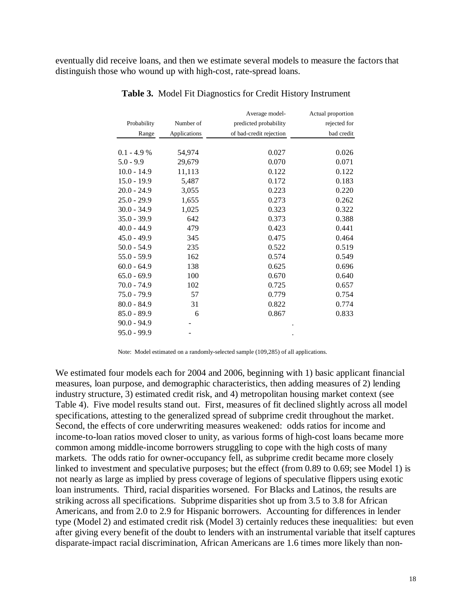eventually did receive loans, and then we estimate several models to measure the factors that distinguish those who wound up with high-cost, rate-spread loans.

|               |              | Average model-          | Actual proportion |
|---------------|--------------|-------------------------|-------------------|
| Probability   | Number of    | predicted probability   | rejected for      |
| Range         | Applications | of bad-credit rejection | bad credit        |
|               |              |                         |                   |
| 0.1 - 4.9 %   | 54,974       | 0.027                   | 0.026             |
| 5.0 - 9.9     | 29,679       | 0.070                   | 0.071             |
| $10.0 - 14.9$ | 11,113       | 0.122                   | 0.122             |
| $15.0 - 19.9$ | 5,487        | 0.172                   | 0.183             |
| 20.0 - 24.9   | 3,055        | 0.223                   | 0.220             |
| 25.0 - 29.9   | 1,655        | 0.273                   | 0.262             |
| 30.0 - 34.9   | 1,025        | 0.323                   | 0.322             |
| 35.0 - 39.9   | 642          | 0.373                   | 0.388             |
| 40.0 - 44.9   | 479          | 0.423                   | 0.441             |
| $45.0 - 49.9$ | 345          | 0.475                   | 0.464             |
| 50.0 - 54.9   | 235          | 0.522                   | 0.519             |
| 55.0 - 59.9   | 162          | 0.574                   | 0.549             |
| $60.0 - 64.9$ | 138          | 0.625                   | 0.696             |
| 65.0 - 69.9   | 100          | 0.670                   | 0.640             |
| 70.0 - 74.9   | 102          | 0.725                   | 0.657             |
| 75.0 - 79.9   | 57           | 0.779                   | 0.754             |
| 80.0 - 84.9   | 31           | 0.822                   | 0.774             |
| 85.0 - 89.9   | 6            | 0.867                   | 0.833             |
| 90.0 - 94.9   |              |                         |                   |
| 95.0 - 99.9   |              |                         |                   |

**Table 3.** Model Fit Diagnostics for Credit History Instrument

Note: Model estimated on a randomly-selected sample (109,285) of all applications.

We estimated four models each for 2004 and 2006, beginning with 1) basic applicant financial measures, loan purpose, and demographic characteristics, then adding measures of 2) lending industry structure, 3) estimated credit risk, and 4) metropolitan housing market context (see Table 4). Five model results stand out. First, measures of fit declined slightly across all model specifications, attesting to the generalized spread of subprime credit throughout the market. Second, the effects of core underwriting measures weakened: odds ratios for income and income-to-loan ratios moved closer to unity, as various forms of high-cost loans became more common among middle-income borrowers struggling to cope with the high costs of many markets. The odds ratio for owner-occupancy fell, as subprime credit became more closely linked to investment and speculative purposes; but the effect (from 0.89 to 0.69; see Model 1) is not nearly as large as implied by press coverage of legions of speculative flippers using exotic loan instruments. Third, racial disparities worsened. For Blacks and Latinos, the results are striking across all specifications. Subprime disparities shot up from 3.5 to 3.8 for African Americans, and from 2.0 to 2.9 for Hispanic borrowers. Accounting for differences in lender type (Model 2) and estimated credit risk (Model 3) certainly reduces these inequalities: but even after giving every benefit of the doubt to lenders with an instrumental variable that itself captures disparate-impact racial discrimination, African Americans are 1.6 times more likely than non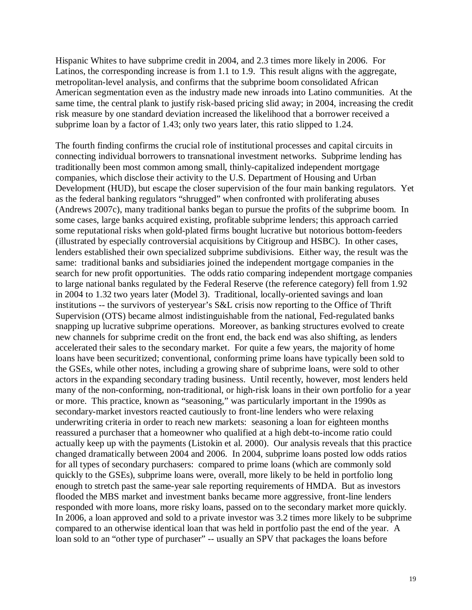Hispanic Whites to have subprime credit in 2004, and 2.3 times more likely in 2006. For Latinos, the corresponding increase is from 1.1 to 1.9. This result aligns with the aggregate, metropolitan-level analysis, and confirms that the subprime boom consolidated African American segmentation even as the industry made new inroads into Latino communities. At the same time, the central plank to justify risk-based pricing slid away; in 2004, increasing the credit risk measure by one standard deviation increased the likelihood that a borrower received a subprime loan by a factor of 1.43; only two years later, this ratio slipped to 1.24.

The fourth finding confirms the crucial role of institutional processes and capital circuits in connecting individual borrowers to transnational investment networks. Subprime lending has traditionally been most common among small, thinly-capitalized independent mortgage companies, which disclose their activity to the U.S. Department of Housing and Urban Development (HUD), but escape the closer supervision of the four main banking regulators. Yet as the federal banking regulators "shrugged" when confronted with proliferating abuses (Andrews 2007c), many traditional banks began to pursue the profits of the subprime boom. In some cases, large banks acquired existing, profitable subprime lenders; this approach carried some reputational risks when gold-plated firms bought lucrative but notorious bottom-feeders (illustrated by especially controversial acquisitions by Citigroup and HSBC). In other cases, lenders established their own specialized subprime subdivisions. Either way, the result was the same: traditional banks and subsidiaries joined the independent mortgage companies in the search for new profit opportunities. The odds ratio comparing independent mortgage companies to large national banks regulated by the Federal Reserve (the reference category) fell from 1.92 in 2004 to 1.32 two years later (Model 3). Traditional, locally-oriented savings and loan institutions -- the survivors of yesteryear's S&L crisis now reporting to the Office of Thrift Supervision (OTS) became almost indistinguishable from the national, Fed-regulated banks snapping up lucrative subprime operations. Moreover, as banking structures evolved to create new channels for subprime credit on the front end, the back end was also shifting, as lenders accelerated their sales to the secondary market. For quite a few years, the majority of home loans have been securitized; conventional, conforming prime loans have typically been sold to the GSEs, while other notes, including a growing share of subprime loans, were sold to other actors in the expanding secondary trading business. Until recently, however, most lenders held many of the non-conforming, non-traditional, or high-risk loans in their own portfolio for a year or more. This practice, known as "seasoning," was particularly important in the 1990s as secondary-market investors reacted cautiously to front-line lenders who were relaxing underwriting criteria in order to reach new markets: seasoning a loan for eighteen months reassured a purchaser that a homeowner who qualified at a high debt-to-income ratio could actually keep up with the payments (Listokin et al. 2000). Our analysis reveals that this practice changed dramatically between 2004 and 2006. In 2004, subprime loans posted low odds ratios for all types of secondary purchasers: compared to prime loans (which are commonly sold quickly to the GSEs), subprime loans were, overall, more likely to be held in portfolio long enough to stretch past the same-year sale reporting requirements of HMDA. But as investors flooded the MBS market and investment banks became more aggressive, front-line lenders responded with more loans, more risky loans, passed on to the secondary market more quickly. In 2006, a loan approved and sold to a private investor was 3.2 times more likely to be subprime compared to an otherwise identical loan that was held in portfolio past the end of the year. A loan sold to an "other type of purchaser" -- usually an SPV that packages the loans before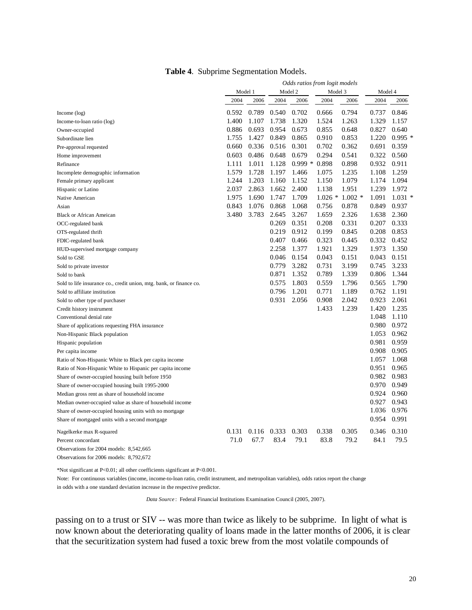|                                                                     | Odds ratios from logit models |       |         |          |          |          |         |          |
|---------------------------------------------------------------------|-------------------------------|-------|---------|----------|----------|----------|---------|----------|
|                                                                     | Model 1                       |       | Model 2 |          | Model 3  |          | Model 4 |          |
|                                                                     | 2004                          | 2006  | 2004    | 2006     | 2004     | 2006     | 2004    | 2006     |
| Income $(\log)$                                                     | 0.592                         | 0.789 | 0.540   | 0.702    | 0.666    | 0.794    | 0.737   | 0.846    |
| Income-to-loan ratio (log)                                          | 1.400                         | 1.107 | 1.738   | 1.320    | 1.524    | 1.263    | 1.329   | 1.157    |
| Owner-occupied                                                      | 0.886                         | 0.693 | 0.954   | 0.673    | 0.855    | 0.648    | 0.827   | 0.640    |
| Subordinate lien                                                    | 1.755                         | 1.427 | 0.849   | 0.865    | 0.910    | 0.853    | 1.220   | $0.995*$ |
| Pre-approval requested                                              | 0.660                         | 0.336 | 0.516   | 0.301    | 0.702    | 0.362    | 0.691   | 0.359    |
| Home improvement                                                    | 0.603                         | 0.486 | 0.648   | 0.679    | 0.294    | 0.541    | 0.322   | 0.560    |
| Refinance                                                           | 1.111                         | 1.011 | 1.128   | $0.999*$ | 0.898    | 0.898    | 0.932   | 0.911    |
| Incomplete demographic information                                  | 1.579                         | 1.728 | 1.197   | 1.466    | 1.075    | 1.235    | 1.108   | 1.259    |
| Female primary applicant                                            | 1.244                         | 1.203 | 1.160   | 1.152    | 1.150    | 1.079    | 1.174   | 1.094    |
| Hispanic or Latino                                                  | 2.037                         | 2.863 | 1.662   | 2.400    | 1.138    | 1.951    | 1.239   | 1.972    |
| Native American                                                     | 1.975                         | 1.690 | 1.747   | 1.709    | $1.026*$ | $1.002*$ | 1.091   | $1.031*$ |
| Asian                                                               | 0.843                         | 1.076 | 0.868   | 1.068    | 0.756    | 0.878    | 0.849   | 0.937    |
| <b>Black or African Ameican</b>                                     | 3.480                         | 3.783 | 2.645   | 3.267    | 1.659    | 2.326    | 1.638   | 2.360    |
| OCC-regulated bank                                                  |                               |       | 0.269   | 0.351    | 0.208    | 0.331    | 0.207   | 0.333    |
| OTS-regulated thrift                                                |                               |       | 0.219   | 0.912    | 0.199    | 0.845    | 0.208   | 0.853    |
| FDIC-regulated bank                                                 |                               |       | 0.407   | 0.466    | 0.323    | 0.445    | 0.332   | 0.452    |
| HUD-supervised mortgage company                                     |                               |       | 2.258   | 1.377    | 1.921    | 1.329    | 1.973   | 1.350    |
| Sold to GSE                                                         |                               |       | 0.046   | 0.154    | 0.043    | 0.151    | 0.043   | 0.151    |
| Sold to private investor                                            |                               |       | 0.779   | 3.282    | 0.731    | 3.199    | 0.745   | 3.233    |
| Sold to bank                                                        |                               |       | 0.871   | 1.352    | 0.789    | 1.339    | 0.806   | 1.344    |
| Sold to life insurance co., credit union, mtg. bank, or finance co. |                               |       | 0.575   | 1.803    | 0.559    | 1.796    | 0.565   | 1.790    |
| Sold to affiliate institution                                       |                               |       | 0.796   | 1.201    | 0.771    | 1.189    | 0.762   | 1.191    |
| Sold to other type of purchaser                                     |                               |       | 0.931   | 2.056    | 0.908    | 2.042    | 0.923   | 2.061    |
| Credit history instrument                                           |                               |       |         |          | 1.433    | 1.239    | 1.420   | 1.235    |
| Conventional denial rate                                            |                               |       |         |          |          |          | 1.048   | 1.110    |
| Share of applications requesting FHA insurance                      |                               |       |         |          |          |          | 0.980   | 0.972    |
| Non-Hispanic Black population                                       |                               |       |         |          |          |          | 1.053   | 0.962    |
| Hispanic population                                                 |                               |       |         |          |          |          | 0.981   | 0.959    |
| Per capita income                                                   |                               |       |         |          |          |          | 0.908   | 0.905    |
| Ratio of Non-Hispanic White to Black per capita income              |                               |       |         |          |          |          | 1.057   | 1.068    |
| Ratio of Non-Hispanic White to Hispanic per capita income           |                               |       |         |          |          |          | 0.951   | 0.965    |
| Share of owner-occupied housing built before 1950                   |                               |       |         |          |          |          | 0.982   | 0.983    |
| Share of owner-occupied housing built 1995-2000                     |                               |       |         |          |          |          | 0.970   | 0.949    |
| Median gross rent as share of household income                      |                               |       |         |          |          |          | 0.924   | 0.960    |
| Median owner-occupied value as share of household income            |                               |       |         |          |          |          | 0.927   | 0.943    |
| Share of owner-occupied housing units with no mortgage              |                               |       |         |          |          |          | 1.036   | 0.976    |
| Share of mortgaged units with a second mortgage                     |                               |       |         |          |          |          | 0.954   | 0.991    |
| Nagelkerke max R-squared                                            | 0.131                         | 0.116 | 0.333   | 0.303    | 0.338    | 0.305    | 0.346   | 0.310    |
| Percent concordant                                                  | 71.0                          | 67.7  | 83.4    | 79.1     | 83.8     | 79.2     | 84.1    | 79.5     |
| Observations for 2004 models: 8,542,665                             |                               |       |         |          |          |          |         |          |

Observations for 2006 models: 8,792,672

\*Not significant at P<0.01; all other coefficients significant at P<0.001.

Note: For continuous variables (income, income-to-loan ratio, credit instrument, and metropolitan variables), odds ratios report the change in odds with a one standard deviation increase in the respective predictor.

*Data Source* : Federal Financial Institutions Examination Council (2005, 2007).

passing on to a trust or SIV -- was more than twice as likely to be subprime. In light of what is now known about the deteriorating quality of loans made in the latter months of 2006, it is clear that the securitization system had fused a toxic brew from the most volatile compounds of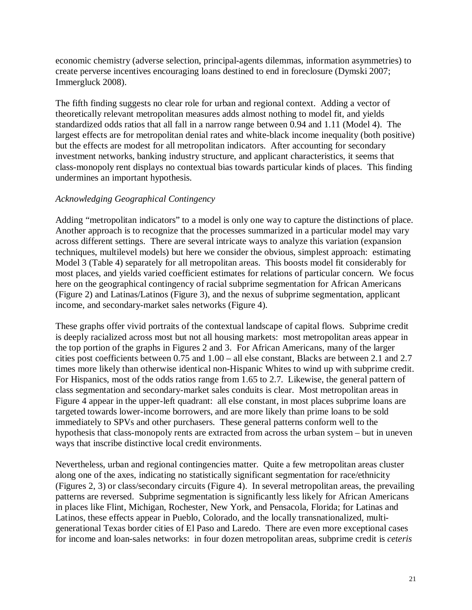economic chemistry (adverse selection, principal-agents dilemmas, information asymmetries) to create perverse incentives encouraging loans destined to end in foreclosure (Dymski 2007; Immergluck 2008).

The fifth finding suggests no clear role for urban and regional context. Adding a vector of theoretically relevant metropolitan measures adds almost nothing to model fit, and yields standardized odds ratios that all fall in a narrow range between 0.94 and 1.11 (Model 4). The largest effects are for metropolitan denial rates and white-black income inequality (both positive) but the effects are modest for all metropolitan indicators. After accounting for secondary investment networks, banking industry structure, and applicant characteristics, it seems that class-monopoly rent displays no contextual bias towards particular kinds of places. This finding undermines an important hypothesis.

# *Acknowledging Geographical Contingency*

Adding "metropolitan indicators" to a model is only one way to capture the distinctions of place. Another approach is to recognize that the processes summarized in a particular model may vary across different settings. There are several intricate ways to analyze this variation (expansion techniques, multilevel models) but here we consider the obvious, simplest approach: estimating Model 3 (Table 4) separately for all metropolitan areas. This boosts model fit considerably for most places, and yields varied coefficient estimates for relations of particular concern. We focus here on the geographical contingency of racial subprime segmentation for African Americans (Figure 2) and Latinas/Latinos (Figure 3), and the nexus of subprime segmentation, applicant income, and secondary-market sales networks (Figure 4).

These graphs offer vivid portraits of the contextual landscape of capital flows. Subprime credit is deeply racialized across most but not all housing markets: most metropolitan areas appear in the top portion of the graphs in Figures 2 and 3. For African Americans, many of the larger cities post coefficients between 0.75 and 1.00 – all else constant, Blacks are between 2.1 and 2.7 times more likely than otherwise identical non-Hispanic Whites to wind up with subprime credit. For Hispanics, most of the odds ratios range from 1.65 to 2.7. Likewise, the general pattern of class segmentation and secondary-market sales conduits is clear. Most metropolitan areas in Figure 4 appear in the upper-left quadrant: all else constant, in most places subprime loans are targeted towards lower-income borrowers, and are more likely than prime loans to be sold immediately to SPVs and other purchasers. These general patterns conform well to the hypothesis that class-monopoly rents are extracted from across the urban system – but in uneven ways that inscribe distinctive local credit environments.

Nevertheless, urban and regional contingencies matter. Quite a few metropolitan areas cluster along one of the axes, indicating no statistically significant segmentation for race/ethnicity (Figures 2, 3) or class/secondary circuits (Figure 4). In several metropolitan areas, the prevailing patterns are reversed. Subprime segmentation is significantly less likely for African Americans in places like Flint, Michigan, Rochester, New York, and Pensacola, Florida; for Latinas and Latinos, these effects appear in Pueblo, Colorado, and the locally transnationalized, multigenerational Texas border cities of El Paso and Laredo. There are even more exceptional cases for income and loan-sales networks: in four dozen metropolitan areas, subprime credit is *ceteris*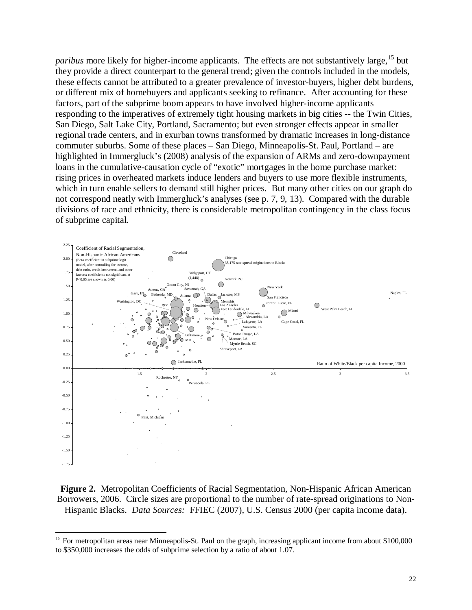*paribus* more likely for higher-income applicants. The effects are not substantively large,<sup>15</sup> but they provide a direct counterpart to the general trend; given the controls included in the models, these effects cannot be attributed to a greater prevalence of investor-buyers, higher debt burdens, or different mix of homebuyers and applicants seeking to refinance. After accounting for these factors, part of the subprime boom appears to have involved higher-income applicants responding to the imperatives of extremely tight housing markets in big cities -- the Twin Cities, San Diego, Salt Lake City, Portland, Sacramento; but even stronger effects appear in smaller regional trade centers, and in exurban towns transformed by dramatic increases in long-distance commuter suburbs. Some of these places – San Diego, Minneapolis-St. Paul, Portland – are highlighted in Immergluck's (2008) analysis of the expansion of ARMs and zero-downpayment loans in the cumulative-causation cycle of "exotic" mortgages in the home purchase market: rising prices in overheated markets induce lenders and buyers to use more flexible instruments, which in turn enable sellers to demand still higher prices. But many other cities on our graph do not correspond neatly with Immergluck's analyses (see p. 7, 9, 13). Compared with the durable divisions of race and ethnicity, there is considerable metropolitan contingency in the class focus of subprime capital.



**Figure 2.** Metropolitan Coefficients of Racial Segmentation, Non-Hispanic African American Borrowers, 2006. Circle sizes are proportional to the number of rate-spread originations to Non-Hispanic Blacks. *Data Sources:* FFIEC (2007), U.S. Census 2000 (per capita income data).

<u>.</u>

<sup>&</sup>lt;sup>15</sup> For metropolitan areas near Minneapolis-St. Paul on the graph, increasing applicant income from about \$100,000 to \$350,000 increases the odds of subprime selection by a ratio of about 1.07.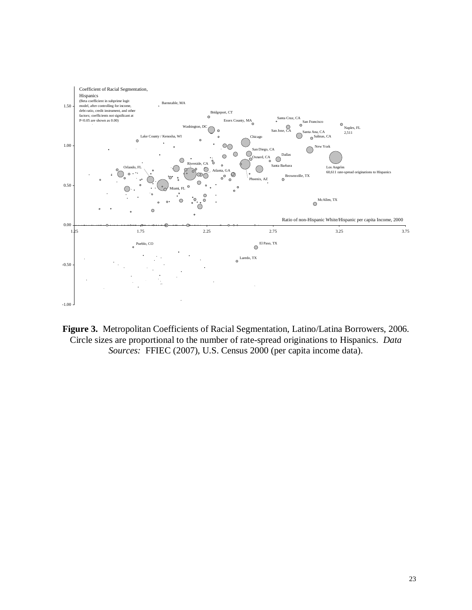

**Figure 3.** Metropolitan Coefficients of Racial Segmentation, Latino/Latina Borrowers, 2006. Circle sizes are proportional to the number of rate-spread originations to Hispanics. *Data Sources:* FFIEC (2007), U.S. Census 2000 (per capita income data).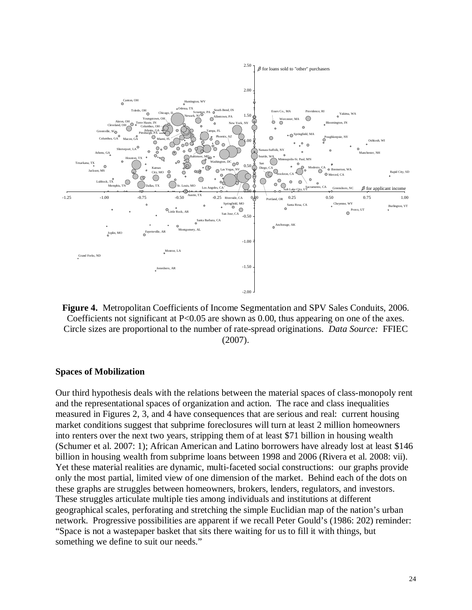

**Figure 4.** Metropolitan Coefficients of Income Segmentation and SPV Sales Conduits, 2006. Coefficients not significant at  $P < 0.05$  are shown as 0.00, thus appearing on one of the axes. Circle sizes are proportional to the number of rate-spread originations. *Data Source:* FFIEC (2007).

#### **Spaces of Mobilization**

Our third hypothesis deals with the relations between the material spaces of class-monopoly rent and the representational spaces of organization and action. The race and class inequalities measured in Figures 2, 3, and 4 have consequences that are serious and real: current housing market conditions suggest that subprime foreclosures will turn at least 2 million homeowners into renters over the next two years, stripping them of at least \$71 billion in housing wealth (Schumer et al. 2007: 1); African American and Latino borrowers have already lost at least \$146 billion in housing wealth from subprime loans between 1998 and 2006 (Rivera et al. 2008: vii). Yet these material realities are dynamic, multi-faceted social constructions: our graphs provide only the most partial, limited view of one dimension of the market. Behind each of the dots on these graphs are struggles between homeowners, brokers, lenders, regulators, and investors. These struggles articulate multiple ties among individuals and institutions at different geographical scales, perforating and stretching the simple Euclidian map of the nation's urban network. Progressive possibilities are apparent if we recall Peter Gould's (1986: 202) reminder: "Space is not a wastepaper basket that sits there waiting for us to fill it with things, but something we define to suit our needs."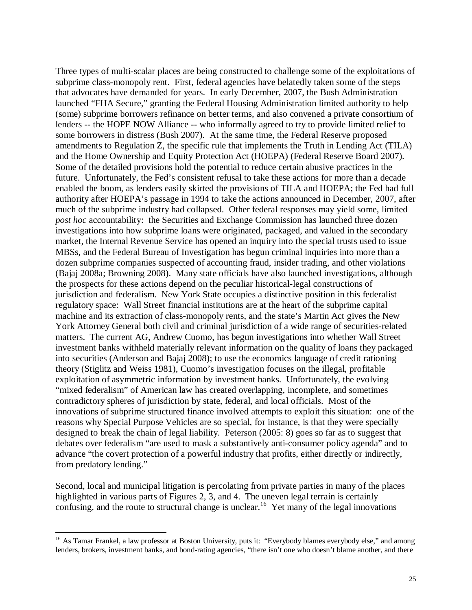Three types of multi-scalar places are being constructed to challenge some of the exploitations of subprime class-monopoly rent. First, federal agencies have belatedly taken some of the steps that advocates have demanded for years. In early December, 2007, the Bush Administration launched "FHA Secure," granting the Federal Housing Administration limited authority to help (some) subprime borrowers refinance on better terms, and also convened a private consortium of lenders -- the HOPE NOW Alliance -- who informally agreed to try to provide limited relief to some borrowers in distress (Bush 2007). At the same time, the Federal Reserve proposed amendments to Regulation Z, the specific rule that implements the Truth in Lending Act (TILA) and the Home Ownership and Equity Protection Act (HOEPA) (Federal Reserve Board 2007). Some of the detailed provisions hold the potential to reduce certain abusive practices in the future. Unfortunately, the Fed's consistent refusal to take these actions for more than a decade enabled the boom, as lenders easily skirted the provisions of TILA and HOEPA; the Fed had full authority after HOEPA's passage in 1994 to take the actions announced in December, 2007, after much of the subprime industry had collapsed. Other federal responses may yield some, limited *post hoc* accountability: the Securities and Exchange Commission has launched three dozen investigations into how subprime loans were originated, packaged, and valued in the secondary market, the Internal Revenue Service has opened an inquiry into the special trusts used to issue MBSs, and the Federal Bureau of Investigation has begun criminal inquiries into more than a dozen subprime companies suspected of accounting fraud, insider trading, and other violations (Bajaj 2008a; Browning 2008). Many state officials have also launched investigations, although the prospects for these actions depend on the peculiar historical-legal constructions of jurisdiction and federalism. New York State occupies a distinctive position in this federalist regulatory space: Wall Street financial institutions are at the heart of the subprime capital machine and its extraction of class-monopoly rents, and the state's Martin Act gives the New York Attorney General both civil and criminal jurisdiction of a wide range of securities-related matters. The current AG, Andrew Cuomo, has begun investigations into whether Wall Street investment banks withheld materially relevant information on the quality of loans they packaged into securities (Anderson and Bajaj 2008); to use the economics language of credit rationing theory (Stiglitz and Weiss 1981), Cuomo's investigation focuses on the illegal, profitable exploitation of asymmetric information by investment banks. Unfortunately, the evolving "mixed federalism" of American law has created overlapping, incomplete, and sometimes contradictory spheres of jurisdiction by state, federal, and local officials. Most of the innovations of subprime structured finance involved attempts to exploit this situation: one of the reasons why Special Purpose Vehicles are so special, for instance, is that they were specially designed to break the chain of legal liability. Peterson (2005: 8) goes so far as to suggest that debates over federalism "are used to mask a substantively anti-consumer policy agenda" and to advance "the covert protection of a powerful industry that profits, either directly or indirectly, from predatory lending."

Second, local and municipal litigation is percolating from private parties in many of the places highlighted in various parts of Figures 2, 3, and 4. The uneven legal terrain is certainly confusing, and the route to structural change is unclear.<sup>16</sup> Yet many of the legal innovations

<u>.</u>

<sup>&</sup>lt;sup>16</sup> As Tamar Frankel, a law professor at Boston University, puts it: "Everybody blames everybody else," and among lenders, brokers, investment banks, and bond-rating agencies, "there isn't one who doesn't blame another, and there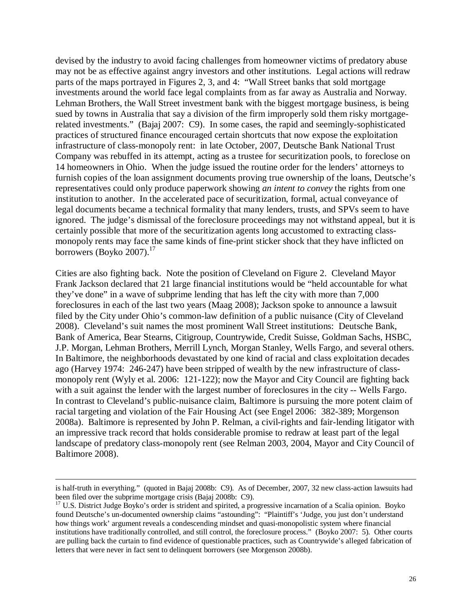devised by the industry to avoid facing challenges from homeowner victims of predatory abuse may not be as effective against angry investors and other institutions. Legal actions will redraw parts of the maps portrayed in Figures 2, 3, and 4: "Wall Street banks that sold mortgage investments around the world face legal complaints from as far away as Australia and Norway. Lehman Brothers, the Wall Street investment bank with the biggest mortgage business, is being sued by towns in Australia that say a division of the firm improperly sold them risky mortgagerelated investments." (Bajaj 2007: C9). In some cases, the rapid and seemingly-sophisticated practices of structured finance encouraged certain shortcuts that now expose the exploitation infrastructure of class-monopoly rent: in late October, 2007, Deutsche Bank National Trust Company was rebuffed in its attempt, acting as a trustee for securitization pools, to foreclose on 14 homeowners in Ohio. When the judge issued the routine order for the lenders' attorneys to furnish copies of the loan assignment documents proving true ownership of the loans, Deutsche's representatives could only produce paperwork showing *an intent to convey* the rights from one institution to another. In the accelerated pace of securitization, formal, actual conveyance of legal documents became a technical formality that many lenders, trusts, and SPVs seem to have ignored. The judge's dismissal of the foreclosure proceedings may not withstand appeal, but it is certainly possible that more of the securitization agents long accustomed to extracting classmonopoly rents may face the same kinds of fine-print sticker shock that they have inflicted on borrowers (Boyko 2007). $^{17}$ 

Cities are also fighting back. Note the position of Cleveland on Figure 2. Cleveland Mayor Frank Jackson declared that 21 large financial institutions would be "held accountable for what they've done" in a wave of subprime lending that has left the city with more than 7,000 foreclosures in each of the last two years (Maag 2008); Jackson spoke to announce a lawsuit filed by the City under Ohio's common-law definition of a public nuisance (City of Cleveland 2008). Cleveland's suit names the most prominent Wall Street institutions: Deutsche Bank, Bank of America, Bear Stearns, Citigroup, Countrywide, Credit Suisse, Goldman Sachs, HSBC, J.P. Morgan, Lehman Brothers, Merrill Lynch, Morgan Stanley, Wells Fargo, and several others. In Baltimore, the neighborhoods devastated by one kind of racial and class exploitation decades ago (Harvey 1974: 246-247) have been stripped of wealth by the new infrastructure of classmonopoly rent (Wyly et al. 2006: 121-122); now the Mayor and City Council are fighting back with a suit against the lender with the largest number of foreclosures in the city -- Wells Fargo. In contrast to Cleveland's public-nuisance claim, Baltimore is pursuing the more potent claim of racial targeting and violation of the Fair Housing Act (see Engel 2006: 382-389; Morgenson 2008a). Baltimore is represented by John P. Relman, a civil-rights and fair-lending litigator with an impressive track record that holds considerable promise to redraw at least part of the legal landscape of predatory class-monopoly rent (see Relman 2003, 2004, Mayor and City Council of Baltimore 2008).

 $\overline{a}$ 

is half-truth in everything." (quoted in Bajaj 2008b: C9). As of December, 2007, 32 new class-action lawsuits had been filed over the subprime mortgage crisis (Bajaj 2008b: C9).

 $17$  U.S. District Judge Boyko's order is strident and spirited, a progressive incarnation of a Scalia opinion. Boyko found Deutsche's un-documented ownership claims "astounding": "Plaintiff's 'Judge, you just don't understand how things work' argument reveals a condescending mindset and quasi-monopolistic system where financial institutions have traditionally controlled, and still control, the foreclosure process." (Boyko 2007: 5). Other courts are pulling back the curtain to find evidence of questionable practices, such as Countrywide's alleged fabrication of letters that were never in fact sent to delinquent borrowers (see Morgenson 2008b).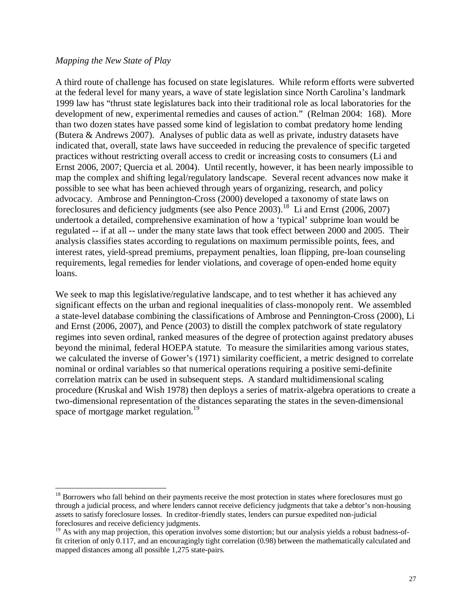## *Mapping the New State of Play*

<u>.</u>

A third route of challenge has focused on state legislatures. While reform efforts were subverted at the federal level for many years, a wave of state legislation since North Carolina's landmark 1999 law has "thrust state legislatures back into their traditional role as local laboratories for the development of new, experimental remedies and causes of action." (Relman 2004: 168). More than two dozen states have passed some kind of legislation to combat predatory home lending (Butera & Andrews 2007). Analyses of public data as well as private, industry datasets have indicated that, overall, state laws have succeeded in reducing the prevalence of specific targeted practices without restricting overall access to credit or increasing costs to consumers (Li and Ernst 2006, 2007; Quercia et al. 2004). Until recently, however, it has been nearly impossible to map the complex and shifting legal/regulatory landscape. Several recent advances now make it possible to see what has been achieved through years of organizing, research, and policy advocacy. Ambrose and Pennington-Cross (2000) developed a taxonomy of state laws on foreclosures and deficiency judgments (see also Pence  $2003$ ).<sup>18</sup> Li and Ernst (2006, 2007) undertook a detailed, comprehensive examination of how a 'typical' subprime loan would be regulated -- if at all -- under the many state laws that took effect between 2000 and 2005. Their analysis classifies states according to regulations on maximum permissible points, fees, and interest rates, yield-spread premiums, prepayment penalties, loan flipping, pre-loan counseling requirements, legal remedies for lender violations, and coverage of open-ended home equity loans.

We seek to map this legislative/regulative landscape, and to test whether it has achieved any significant effects on the urban and regional inequalities of class-monopoly rent. We assembled a state-level database combining the classifications of Ambrose and Pennington-Cross (2000), Li and Ernst (2006, 2007), and Pence (2003) to distill the complex patchwork of state regulatory regimes into seven ordinal, ranked measures of the degree of protection against predatory abuses beyond the minimal, federal HOEPA statute. To measure the similarities among various states, we calculated the inverse of Gower's (1971) similarity coefficient, a metric designed to correlate nominal or ordinal variables so that numerical operations requiring a positive semi-definite correlation matrix can be used in subsequent steps. A standard multidimensional scaling procedure (Kruskal and Wish 1978) then deploys a series of matrix-algebra operations to create a two-dimensional representation of the distances separating the states in the seven-dimensional space of mortgage market regulation.<sup>19</sup>

<sup>&</sup>lt;sup>18</sup> Borrowers who fall behind on their payments receive the most protection in states where foreclosures must go through a judicial process, and where lenders cannot receive deficiency judgments that take a debtor's non-housing assets to satisfy foreclosure losses. In creditor-friendly states, lenders can pursue expedited non-judicial foreclosures and receive deficiency judgments.

 $19$  As with any map projection, this operation involves some distortion; but our analysis yields a robust badness-offit criterion of only 0.117, and an encouragingly tight correlation (0.98) between the mathematically calculated and mapped distances among all possible 1,275 state-pairs.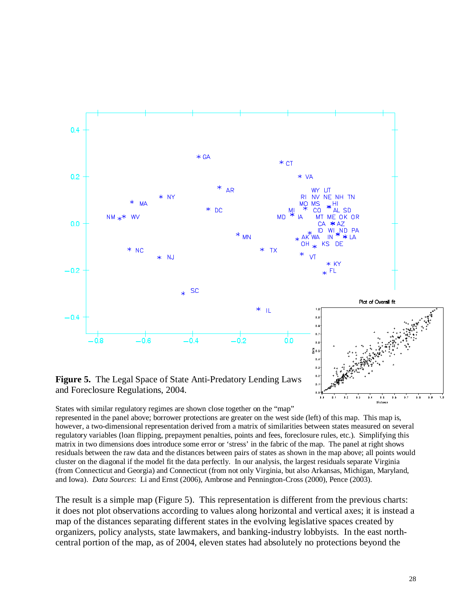

**Figure 5.** The Legal Space of State Anti-Predatory Lending Laws and Foreclosure Regulations, 2004.

States with similar regulatory regimes are shown close together on the "map"

represented in the panel above; borrower protections are greater on the west side (left) of this map. This map is, however, a two-dimensional representation derived from a matrix of similarities between states measured on several regulatory variables (loan flipping, prepayment penalties, points and fees, foreclosure rules, etc.). Simplifying this matrix in two dimensions does introduce some error or 'stress' in the fabric of the map. The panel at right shows residuals between the raw data and the distances between pairs of states as shown in the map above; all points would cluster on the diagonal if the model fit the data perfectly. In our analysis, the largest residuals separate Virginia (from Connecticut and Georgia) and Connecticut (from not only Virginia, but also Arkansas, Michigan, Maryland, and Iowa). *Data Sources*: Li and Ernst (2006), Ambrose and Pennington-Cross (2000), Pence (2003).

 $\overline{6}$ 궁,  $\overline{0.3}$ 

The result is a simple map (Figure 5). This representation is different from the previous charts: it does not plot observations according to values along horizontal and vertical axes; it is instead a map of the distances separating different states in the evolving legislative spaces created by organizers, policy analysts, state lawmakers, and banking-industry lobbyists. In the east northcentral portion of the map, as of 2004, eleven states had absolutely no protections beyond the

 $5s$  $\overline{0.7}$  $\overline{0.8}$  $\cdot$  $\overline{10}$ 

 $\ddot{\phantom{a}}$  $6.5$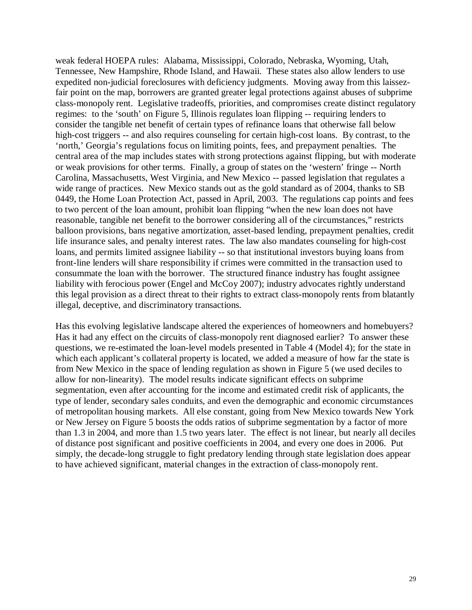weak federal HOEPA rules: Alabama, Mississippi, Colorado, Nebraska, Wyoming, Utah, Tennessee, New Hampshire, Rhode Island, and Hawaii. These states also allow lenders to use expedited non-judicial foreclosures with deficiency judgments. Moving away from this laissezfair point on the map, borrowers are granted greater legal protections against abuses of subprime class-monopoly rent. Legislative tradeoffs, priorities, and compromises create distinct regulatory regimes: to the 'south' on Figure 5, Illinois regulates loan flipping -- requiring lenders to consider the tangible net benefit of certain types of refinance loans that otherwise fall below high-cost triggers -- and also requires counseling for certain high-cost loans. By contrast, to the 'north,' Georgia's regulations focus on limiting points, fees, and prepayment penalties. The central area of the map includes states with strong protections against flipping, but with moderate or weak provisions for other terms. Finally, a group of states on the 'western' fringe -- North Carolina, Massachusetts, West Virginia, and New Mexico -- passed legislation that regulates a wide range of practices. New Mexico stands out as the gold standard as of 2004, thanks to SB 0449, the Home Loan Protection Act, passed in April, 2003. The regulations cap points and fees to two percent of the loan amount, prohibit loan flipping "when the new loan does not have reasonable, tangible net benefit to the borrower considering all of the circumstances," restricts balloon provisions, bans negative amortization, asset-based lending, prepayment penalties, credit life insurance sales, and penalty interest rates. The law also mandates counseling for high-cost loans, and permits limited assignee liability -- so that institutional investors buying loans from front-line lenders will share responsibility if crimes were committed in the transaction used to consummate the loan with the borrower. The structured finance industry has fought assignee liability with ferocious power (Engel and McCoy 2007); industry advocates rightly understand this legal provision as a direct threat to their rights to extract class-monopoly rents from blatantly illegal, deceptive, and discriminatory transactions.

Has this evolving legislative landscape altered the experiences of homeowners and homebuyers? Has it had any effect on the circuits of class-monopoly rent diagnosed earlier? To answer these questions, we re-estimated the loan-level models presented in Table 4 (Model 4); for the state in which each applicant's collateral property is located, we added a measure of how far the state is from New Mexico in the space of lending regulation as shown in Figure 5 (we used deciles to allow for non-linearity). The model results indicate significant effects on subprime segmentation, even after accounting for the income and estimated credit risk of applicants, the type of lender, secondary sales conduits, and even the demographic and economic circumstances of metropolitan housing markets. All else constant, going from New Mexico towards New York or New Jersey on Figure 5 boosts the odds ratios of subprime segmentation by a factor of more than 1.3 in 2004, and more than 1.5 two years later. The effect is not linear, but nearly all deciles of distance post significant and positive coefficients in 2004, and every one does in 2006. Put simply, the decade-long struggle to fight predatory lending through state legislation does appear to have achieved significant, material changes in the extraction of class-monopoly rent.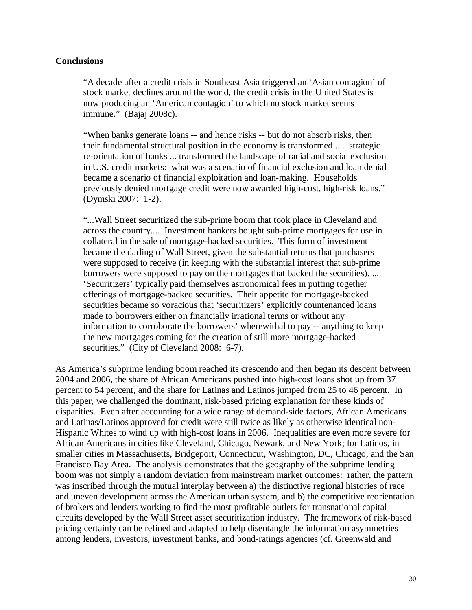## **Conclusions**

"A decade after a credit crisis in Southeast Asia triggered an 'Asian contagion' of stock market declines around the world, the credit crisis in the United States is now producing an 'American contagion' to which no stock market seems immune." (Bajaj 2008c).

"When banks generate loans -- and hence risks -- but do not absorb risks, then their fundamental structural position in the economy is transformed .... strategic re-orientation of banks ... transformed the landscape of racial and social exclusion in U.S. credit markets: what was a scenario of financial exclusion and loan denial became a scenario of financial exploitation and loan-making. Households previously denied mortgage credit were now awarded high-cost, high-risk loans." (Dymski 2007: 1-2).

"...Wall Street securitized the sub-prime boom that took place in Cleveland and across the country.... Investment bankers bought sub-prime mortgages for use in collateral in the sale of mortgage-backed securities. This form of investment became the darling of Wall Street, given the substantial returns that purchasers were supposed to receive (in keeping with the substantial interest that sub-prime borrowers were supposed to pay on the mortgages that backed the securities). ... 'Securitizers' typically paid themselves astronomical fees in putting together offerings of mortgage-backed securities. Their appetite for mortgage-backed securities became so voracious that 'securitizers' explicitly countenanced loans made to borrowers either on financially irrational terms or without any information to corroborate the borrowers' wherewithal to pay -- anything to keep the new mortgages coming for the creation of still more mortgage-backed securities." (City of Cleveland 2008: 6-7).

As America's subprime lending boom reached its crescendo and then began its descent between 2004 and 2006, the share of African Americans pushed into high-cost loans shot up from 37 percent to 54 percent, and the share for Latinas and Latinos jumped from 25 to 46 percent. In this paper, we challenged the dominant, risk-based pricing explanation for these kinds of disparities. Even after accounting for a wide range of demand-side factors, African Americans and Latinas/Latinos approved for credit were still twice as likely as otherwise identical non-Hispanic Whites to wind up with high-cost loans in 2006. Inequalities are even more severe for African Americans in cities like Cleveland, Chicago, Newark, and New York; for Latinos, in smaller cities in Massachusetts, Bridgeport, Connecticut, Washington, DC, Chicago, and the San Francisco Bay Area. The analysis demonstrates that the geography of the subprime lending boom was not simply a random deviation from mainstream market outcomes: rather, the pattern was inscribed through the mutual interplay between a) the distinctive regional histories of race and uneven development across the American urban system, and b) the competitive reorientation of brokers and lenders working to find the most profitable outlets for transnational capital circuits developed by the Wall Street asset securitization industry. The framework of risk-based pricing certainly can be refined and adapted to help disentangle the information asymmetries among lenders, investors, investment banks, and bond-ratings agencies (cf. Greenwald and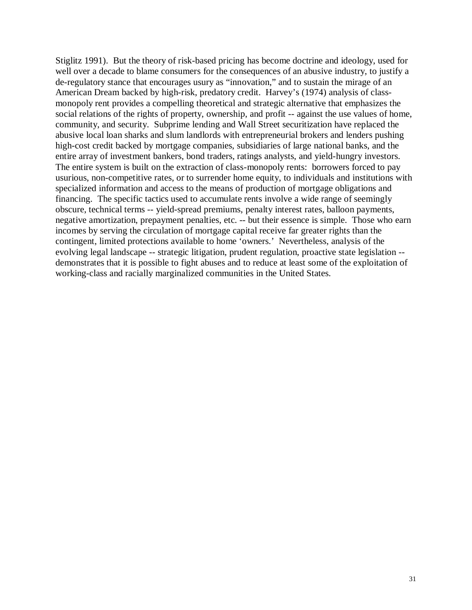Stiglitz 1991). But the theory of risk-based pricing has become doctrine and ideology, used for well over a decade to blame consumers for the consequences of an abusive industry, to justify a de-regulatory stance that encourages usury as "innovation," and to sustain the mirage of an American Dream backed by high-risk, predatory credit. Harvey's (1974) analysis of classmonopoly rent provides a compelling theoretical and strategic alternative that emphasizes the social relations of the rights of property, ownership, and profit -- against the use values of home, community, and security. Subprime lending and Wall Street securitization have replaced the abusive local loan sharks and slum landlords with entrepreneurial brokers and lenders pushing high-cost credit backed by mortgage companies, subsidiaries of large national banks, and the entire array of investment bankers, bond traders, ratings analysts, and yield-hungry investors. The entire system is built on the extraction of class-monopoly rents: borrowers forced to pay usurious, non-competitive rates, or to surrender home equity, to individuals and institutions with specialized information and access to the means of production of mortgage obligations and financing. The specific tactics used to accumulate rents involve a wide range of seemingly obscure, technical terms -- yield-spread premiums, penalty interest rates, balloon payments, negative amortization, prepayment penalties, etc. -- but their essence is simple. Those who earn incomes by serving the circulation of mortgage capital receive far greater rights than the contingent, limited protections available to home 'owners.' Nevertheless, analysis of the evolving legal landscape -- strategic litigation, prudent regulation, proactive state legislation - demonstrates that it is possible to fight abuses and to reduce at least some of the exploitation of working-class and racially marginalized communities in the United States.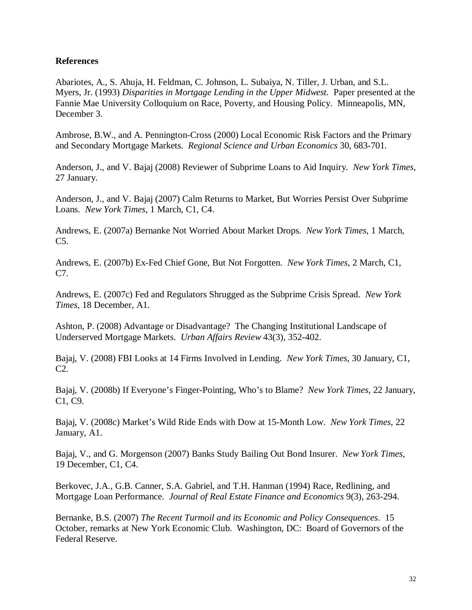# **References**

Abariotes, A., S. Ahuja, H. Feldman, C. Johnson, L. Subaiya, N. Tiller, J. Urban, and S.L. Myers, Jr. (1993) *Disparities in Mortgage Lending in the Upper Midwest.* Paper presented at the Fannie Mae University Colloquium on Race, Poverty, and Housing Policy. Minneapolis, MN, December 3.

Ambrose, B.W., and A. Pennington-Cross (2000) Local Economic Risk Factors and the Primary and Secondary Mortgage Markets. *Regional Science and Urban Economics* 30, 683-701.

Anderson, J., and V. Bajaj (2008) Reviewer of Subprime Loans to Aid Inquiry. *New York Times*, 27 January.

Anderson, J., and V. Bajaj (2007) Calm Returns to Market, But Worries Persist Over Subprime Loans. *New York Times*, 1 March, C1, C4.

Andrews, E. (2007a) Bernanke Not Worried About Market Drops. *New York Times*, 1 March, C5.

Andrews, E. (2007b) Ex-Fed Chief Gone, But Not Forgotten. *New York Times*, 2 March, C1, C7.

Andrews, E. (2007c) Fed and Regulators Shrugged as the Subprime Crisis Spread. *New York Times*, 18 December, A1.

Ashton, P. (2008) Advantage or Disadvantage? The Changing Institutional Landscape of Underserved Mortgage Markets. *Urban Affairs Review* 43(3), 352-402.

Bajaj, V. (2008) FBI Looks at 14 Firms Involved in Lending. *New York Times*, 30 January, C1, C2.

Bajaj, V. (2008b) If Everyone's Finger-Pointing, Who's to Blame? *New York Times*, 22 January, C1, C9.

Bajaj, V. (2008c) Market's Wild Ride Ends with Dow at 15-Month Low. *New York Times*, 22 January, A1.

Bajaj, V., and G. Morgenson (2007) Banks Study Bailing Out Bond Insurer. *New York Times*, 19 December, C1, C4.

Berkovec, J.A., G.B. Canner, S.A. Gabriel, and T.H. Hanman (1994) Race, Redlining, and Mortgage Loan Performance. *Journal of Real Estate Finance and Economics* 9(3), 263-294.

Bernanke, B.S. (2007) *The Recent Turmoil and its Economic and Policy Consequences*. 15 October, remarks at New York Economic Club. Washington, DC: Board of Governors of the Federal Reserve.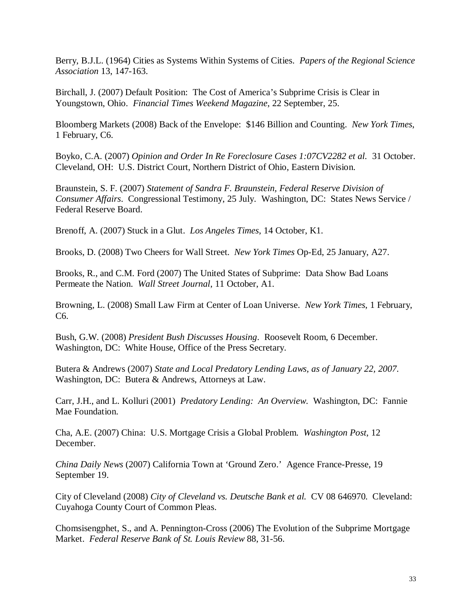Berry, B.J.L. (1964) Cities as Systems Within Systems of Cities. *Papers of the Regional Science Association* 13, 147-163.

Birchall, J. (2007) Default Position: The Cost of America's Subprime Crisis is Clear in Youngstown, Ohio. *Financial Times Weekend Magazine*, 22 September, 25.

Bloomberg Markets (2008) Back of the Envelope: \$146 Billion and Counting. *New York Times*, 1 February, C6.

Boyko, C.A. (2007) *Opinion and Order In Re Foreclosure Cases 1:07CV2282 et al.* 31 October. Cleveland, OH: U.S. District Court, Northern District of Ohio, Eastern Division.

Braunstein, S. F. (2007) *Statement of Sandra F. Braunstein, Federal Reserve Division of Consumer Affairs*. Congressional Testimony, 25 July. Washington, DC: States News Service / Federal Reserve Board.

Brenoff, A. (2007) Stuck in a Glut. *Los Angeles Times*, 14 October, K1.

Brooks, D. (2008) Two Cheers for Wall Street. *New York Times* Op-Ed, 25 January, A27.

Brooks, R., and C.M. Ford (2007) The United States of Subprime: Data Show Bad Loans Permeate the Nation. *Wall Street Journal*, 11 October, A1.

Browning, L. (2008) Small Law Firm at Center of Loan Universe. *New York Times*, 1 February, C6.

Bush, G.W. (2008) *President Bush Discusses Housing*. Roosevelt Room, 6 December. Washington, DC: White House, Office of the Press Secretary.

Butera & Andrews (2007) *State and Local Predatory Lending Laws, as of January 22, 2007*. Washington, DC: Butera & Andrews, Attorneys at Law.

Carr, J.H., and L. Kolluri (2001) *Predatory Lending: An Overview*. Washington, DC: Fannie Mae Foundation.

Cha, A.E. (2007) China: U.S. Mortgage Crisis a Global Problem. *Washington Post*, 12 December.

*China Daily News* (2007) California Town at 'Ground Zero.' Agence France-Presse, 19 September 19.

City of Cleveland (2008) *City of Cleveland vs. Deutsche Bank et al.* CV 08 646970. Cleveland: Cuyahoga County Court of Common Pleas.

Chomsisengphet, S., and A. Pennington-Cross (2006) The Evolution of the Subprime Mortgage Market. *Federal Reserve Bank of St. Louis Review* 88, 31-56.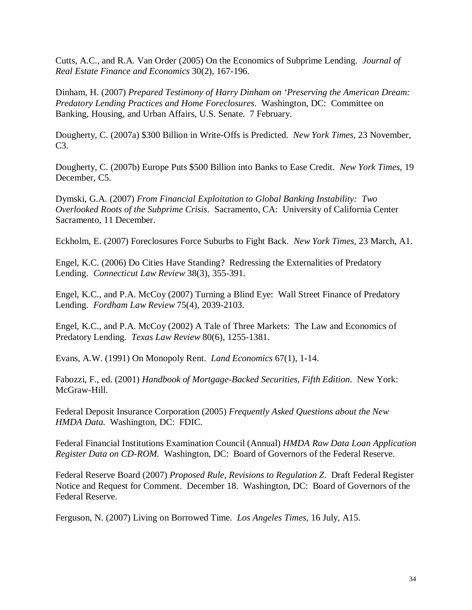Cutts, A.C., and R.A. Van Order (2005) On the Economics of Subprime Lending. *Journal of Real Estate Finance and Economics* 30(2), 167-196.

Dinham, H. (2007) *Prepared Testimony of Harry Dinham on 'Preserving the American Dream: Predatory Lending Practices and Home Foreclosures*. Washington, DC: Committee on Banking, Housing, and Urban Affairs, U.S. Senate. 7 February.

Dougherty, C. (2007a) \$300 Billion in Write-Offs is Predicted. *New York Times*, 23 November, C3.

Dougherty, C. (2007b) Europe Puts \$500 Billion into Banks to Ease Credit. *New York Times*, 19 December, C5.

Dymski, G.A. (2007) *From Financial Exploitation to Global Banking Instability: Two Overlooked Roots of the Subprime Crisis*. Sacramento, CA: University of California Center Sacramento, 11 December.

Eckholm, E. (2007) Foreclosures Force Suburbs to Fight Back. *New York Times*, 23 March, A1.

Engel, K.C. (2006) Do Cities Have Standing? Redressing the Externalities of Predatory Lending. *Connecticut Law Review* 38(3), 355-391.

Engel, K.C., and P.A. McCoy (2007) Turning a Blind Eye: Wall Street Finance of Predatory Lending. *Fordham Law Review* 75(4), 2039-2103.

Engel, K.C., and P.A. McCoy (2002) A Tale of Three Markets: The Law and Economics of Predatory Lending. *Texas Law Review* 80(6), 1255-1381.

Evans, A.W. (1991) On Monopoly Rent. *Land Economics* 67(1), 1-14.

Fabozzi, F., ed. (2001) *Handbook of Mortgage-Backed Securities, Fifth Edition*. New York: McGraw-Hill.

Federal Deposit Insurance Corporation (2005) *Frequently Asked Questions about the New HMDA Data*. Washington, DC: FDIC.

Federal Financial Institutions Examination Council (Annual) *HMDA Raw Data Loan Application Register Data on CD-ROM.* Washington, DC: Board of Governors of the Federal Reserve.

Federal Reserve Board (2007) *Proposed Rule, Revisions to Regulation Z*. Draft Federal Register Notice and Request for Comment. December 18. Washington, DC: Board of Governors of the Federal Reserve.

Ferguson, N. (2007) Living on Borrowed Time. *Los Angeles Times*, 16 July, A15.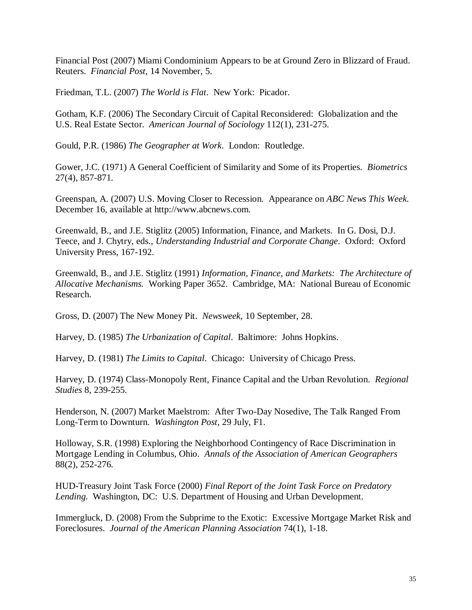Financial Post (2007) Miami Condominium Appears to be at Ground Zero in Blizzard of Fraud. Reuters. *Financial Post*, 14 November, 5.

Friedman, T.L. (2007) *The World is Flat*. New York: Picador.

Gotham, K.F. (2006) The Secondary Circuit of Capital Reconsidered: Globalization and the U.S. Real Estate Sector. *American Journal of Sociology* 112(1), 231-275.

Gould, P.R. (1986) *The Geographer at Work*. London: Routledge.

Gower, J.C. (1971) A General Coefficient of Similarity and Some of its Properties. *Biometrics* 27(4), 857-871.

Greenspan, A. (2007) U.S. Moving Closer to Recession. Appearance on *ABC News This Week.*  December 16, available at http://www.abcnews.com.

Greenwald, B., and J.E. Stiglitz (2005) Information, Finance, and Markets. In G. Dosi, D.J. Teece, and J. Chytry, eds., *Understanding Industrial and Corporate Change*. Oxford: Oxford University Press, 167-192.

Greenwald, B., and J.E. Stiglitz (1991) *Information, Finance, and Markets: The Architecture of Allocative Mechanisms.* Working Paper 3652. Cambridge, MA: National Bureau of Economic Research.

Gross, D. (2007) The New Money Pit. *Newsweek*, 10 September, 28.

Harvey, D. (1985) *The Urbanization of Capital*. Baltimore: Johns Hopkins.

Harvey, D. (1981) *The Limits to Capital*. Chicago: University of Chicago Press.

Harvey, D. (1974) Class-Monopoly Rent, Finance Capital and the Urban Revolution. *Regional Studies* 8, 239-255.

Henderson, N. (2007) Market Maelstrom: After Two-Day Nosedive, The Talk Ranged From Long-Term to Downturn. *Washington Post,* 29 July, F1.

Holloway, S.R. (1998) Exploring the Neighborhood Contingency of Race Discrimination in Mortgage Lending in Columbus, Ohio. *Annals of the Association of American Geographers* 88(2), 252-276.

HUD-Treasury Joint Task Force (2000) *Final Report of the Joint Task Force on Predatory Lending.* Washington, DC: U.S. Department of Housing and Urban Development.

Immergluck, D. (2008) From the Subprime to the Exotic: Excessive Mortgage Market Risk and Foreclosures. *Journal of the American Planning Association* 74(1), 1-18.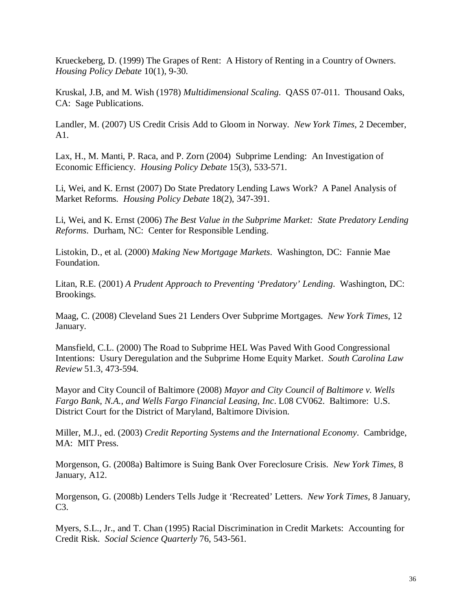Krueckeberg, D. (1999) The Grapes of Rent: A History of Renting in a Country of Owners. *Housing Policy Debate* 10(1), 9-30.

Kruskal, J.B, and M. Wish (1978) *Multidimensional Scaling*. QASS 07-011. Thousand Oaks, CA: Sage Publications.

Landler, M. (2007) US Credit Crisis Add to Gloom in Norway. *New York Times*, 2 December, A1.

Lax, H., M. Manti, P. Raca, and P. Zorn (2004) Subprime Lending: An Investigation of Economic Efficiency. *Housing Policy Debate* 15(3), 533-571.

Li, Wei, and K. Ernst (2007) Do State Predatory Lending Laws Work? A Panel Analysis of Market Reforms. *Housing Policy Debate* 18(2), 347-391.

Li, Wei, and K. Ernst (2006) *The Best Value in the Subprime Market: State Predatory Lending Reforms*. Durham, NC: Center for Responsible Lending.

Listokin, D., et al. (2000) *Making New Mortgage Markets*. Washington, DC: Fannie Mae Foundation.

Litan, R.E. (2001) *A Prudent Approach to Preventing 'Predatory' Lending*. Washington, DC: Brookings.

Maag, C. (2008) Cleveland Sues 21 Lenders Over Subprime Mortgages. *New York Times*, 12 January.

Mansfield, C.L. (2000) The Road to Subprime HEL Was Paved With Good Congressional Intentions: Usury Deregulation and the Subprime Home Equity Market. *South Carolina Law Review* 51.3, 473-594.

Mayor and City Council of Baltimore (2008) *Mayor and City Council of Baltimore v. Wells Fargo Bank, N.A., and Wells Fargo Financial Leasing, Inc*. L08 CV062. Baltimore: U.S. District Court for the District of Maryland, Baltimore Division.

Miller, M.J., ed. (2003) *Credit Reporting Systems and the International Economy*. Cambridge, MA: MIT Press.

Morgenson, G. (2008a) Baltimore is Suing Bank Over Foreclosure Crisis. *New York Times*, 8 January, A12.

Morgenson, G. (2008b) Lenders Tells Judge it 'Recreated' Letters. *New York Times,* 8 January, C3.

Myers, S.L., Jr., and T. Chan (1995) Racial Discrimination in Credit Markets: Accounting for Credit Risk. *Social Science Quarterly* 76, 543-561.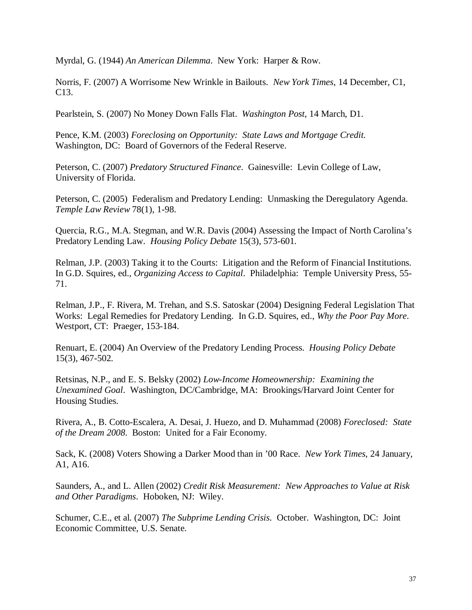Myrdal, G. (1944) *An American Dilemma*. New York: Harper & Row.

Norris, F. (2007) A Worrisome New Wrinkle in Bailouts. *New York Times*, 14 December, C1, C13.

Pearlstein, S. (2007) No Money Down Falls Flat. *Washington Post*, 14 March, D1.

Pence, K.M. (2003) *Foreclosing on Opportunity: State Laws and Mortgage Credit.* Washington, DC: Board of Governors of the Federal Reserve.

Peterson, C. (2007) *Predatory Structured Finance*. Gainesville: Levin College of Law, University of Florida.

Peterson, C. (2005) Federalism and Predatory Lending: Unmasking the Deregulatory Agenda. *Temple Law Review* 78(1), 1-98.

Quercia, R.G., M.A. Stegman, and W.R. Davis (2004) Assessing the Impact of North Carolina's Predatory Lending Law. *Housing Policy Debate* 15(3), 573-601.

Relman, J.P. (2003) Taking it to the Courts: Litigation and the Reform of Financial Institutions. In G.D. Squires, ed., *Organizing Access to Capital*. Philadelphia: Temple University Press, 55- 71.

Relman, J.P., F. Rivera, M. Trehan, and S.S. Satoskar (2004) Designing Federal Legislation That Works: Legal Remedies for Predatory Lending. In G.D. Squires, ed., *Why the Poor Pay More*. Westport, CT: Praeger, 153-184.

Renuart, E. (2004) An Overview of the Predatory Lending Process. *Housing Policy Debate* 15(3), 467-502.

Retsinas, N.P., and E. S. Belsky (2002) *Low-Income Homeownership: Examining the Unexamined Goal*. Washington, DC/Cambridge, MA: Brookings/Harvard Joint Center for Housing Studies.

Rivera, A., B. Cotto-Escalera, A. Desai, J. Huezo, and D. Muhammad (2008) *Foreclosed: State of the Dream 2008*. Boston: United for a Fair Economy.

Sack, K. (2008) Voters Showing a Darker Mood than in '00 Race. *New York Times*, 24 January, A1, A16.

Saunders, A., and L. Allen (2002) *Credit Risk Measurement: New Approaches to Value at Risk and Other Paradigms*. Hoboken, NJ: Wiley.

Schumer, C.E., et al. (2007) *The Subprime Lending Crisis*. October. Washington, DC: Joint Economic Committee, U.S. Senate.